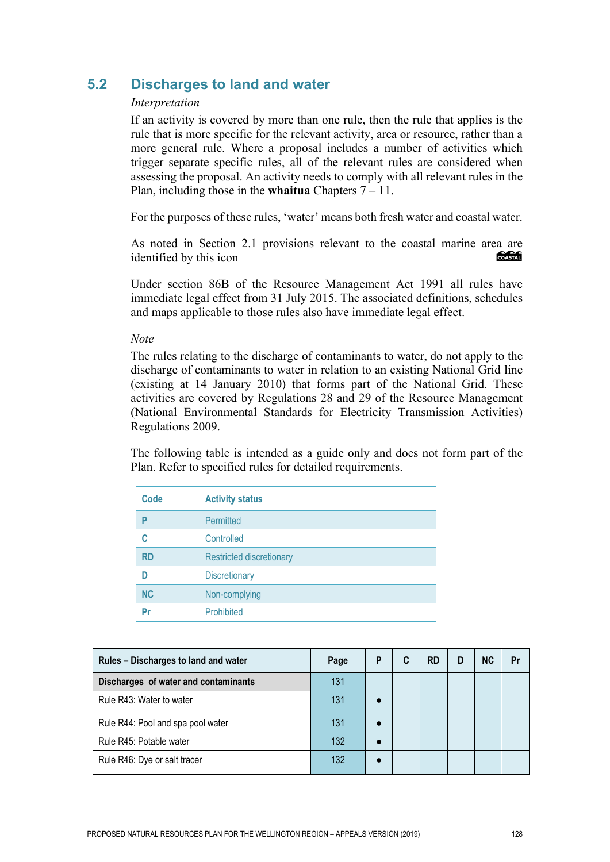# **5.2 Discharges to land and water**

### *Interpretation*

If an activity is covered by more than one rule, then the rule that applies is the rule that is more specific for the relevant activity, area or resource, rather than a more general rule. Where a proposal includes a number of activities which trigger separate specific rules, all of the relevant rules are considered when assessing the proposal. An activity needs to comply with all relevant rules in the Plan, including those in the **whaitua** Chapters 7 – 11.

For the purposes of these rules, 'water' means both fresh water and coastal water.

As noted in Section 2.1 provisions relevant to the coastal marine area are<br>identified by this icon identified by this icon

Under section 86B of the Resource Management Act 1991 all rules have immediate legal effect from 31 July 2015. The associated definitions, schedules and maps applicable to those rules also have immediate legal effect.

*Note* 

The rules relating to the discharge of contaminants to water, do not apply to the discharge of contaminants to water in relation to an existing National Grid line (existing at 14 January 2010) that forms part of the National Grid. These activities are covered by Regulations 28 and 29 of the Resource Management (National Environmental Standards for Electricity Transmission Activities) Regulations 2009.

The following table is intended as a guide only and does not form part of the Plan. Refer to specified rules for detailed requirements.

| Code      | <b>Activity status</b>          |
|-----------|---------------------------------|
| P         | <b>Permitted</b>                |
| C         | Controlled                      |
| <b>RD</b> | <b>Restricted discretionary</b> |
| n         | <b>Discretionary</b>            |
| <b>NC</b> | Non-complying                   |
| Pr        | Prohibited                      |

| Rules - Discharges to land and water | Page | P         | C | <b>RD</b> | D | <b>NC</b> | Pr |
|--------------------------------------|------|-----------|---|-----------|---|-----------|----|
| Discharges of water and contaminants | 131  |           |   |           |   |           |    |
| Rule R43: Water to water             | 131  | $\bullet$ |   |           |   |           |    |
| Rule R44: Pool and spa pool water    | 131  | $\bullet$ |   |           |   |           |    |
| Rule R45: Potable water              | 132  |           |   |           |   |           |    |
| Rule R46: Dye or salt tracer         | 132  |           |   |           |   |           |    |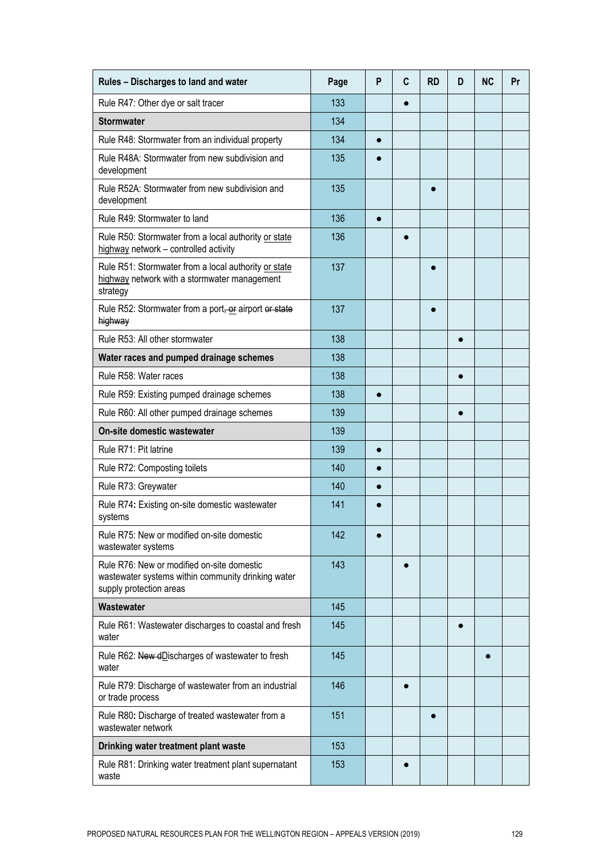| Rules - Discharges to land and water                                                                                        | Page | P         | C         | <b>RD</b> | D         | <b>NC</b> | Pr |
|-----------------------------------------------------------------------------------------------------------------------------|------|-----------|-----------|-----------|-----------|-----------|----|
| Rule R47: Other dye or salt tracer                                                                                          | 133  |           | $\bullet$ |           |           |           |    |
| <b>Stormwater</b>                                                                                                           | 134  |           |           |           |           |           |    |
| Rule R48: Stormwater from an individual property                                                                            | 134  | $\bullet$ |           |           |           |           |    |
| Rule R48A: Stormwater from new subdivision and<br>development                                                               | 135  |           |           |           |           |           |    |
| Rule R52A: Stormwater from new subdivision and<br>development                                                               | 135  |           |           |           |           |           |    |
| Rule R49: Stormwater to land                                                                                                | 136  | $\bullet$ |           |           |           |           |    |
| Rule R50: Stormwater from a local authority or state<br>highway network - controlled activity                               | 136  |           |           |           |           |           |    |
| Rule R51: Stormwater from a local authority or state<br>highway network with a stormwater management<br>strategy            | 137  |           |           |           |           |           |    |
| Rule R52: Stormwater from a port, or airport or state<br>highway                                                            | 137  |           |           |           |           |           |    |
| Rule R53: All other stormwater                                                                                              | 138  |           |           |           |           |           |    |
| Water races and pumped drainage schemes                                                                                     | 138  |           |           |           |           |           |    |
| Rule R58: Water races                                                                                                       | 138  |           |           |           |           |           |    |
| Rule R59: Existing pumped drainage schemes                                                                                  | 138  |           |           |           |           |           |    |
| Rule R60: All other pumped drainage schemes                                                                                 | 139  |           |           |           |           |           |    |
| On-site domestic wastewater                                                                                                 | 139  |           |           |           |           |           |    |
| Rule R71: Pit latrine                                                                                                       | 139  |           |           |           |           |           |    |
| Rule R72: Composting toilets                                                                                                | 140  |           |           |           |           |           |    |
| Rule R73: Greywater                                                                                                         | 140  |           |           |           |           |           |    |
| Rule R74: Existing on-site domestic wastewater<br>systems                                                                   | 141  |           |           |           |           |           |    |
| Rule R75: New or modified on-site domestic<br>wastewater systems                                                            | 142  |           |           |           |           |           |    |
| Rule R76: New or modified on-site domestic<br>wastewater systems within community drinking water<br>supply protection areas | 143  |           |           |           |           |           |    |
| Wastewater                                                                                                                  | 145  |           |           |           |           |           |    |
| Rule R61: Wastewater discharges to coastal and fresh<br>water                                                               | 145  |           |           |           | $\bullet$ |           |    |
| Rule R62: New dDischarges of wastewater to fresh<br>water                                                                   | 145  |           |           |           |           |           |    |
| Rule R79: Discharge of wastewater from an industrial<br>or trade process                                                    | 146  |           |           |           |           |           |    |
| Rule R80: Discharge of treated wastewater from a<br>wastewater network                                                      | 151  |           |           | e         |           |           |    |
| Drinking water treatment plant waste                                                                                        | 153  |           |           |           |           |           |    |
| Rule R81: Drinking water treatment plant supernatant<br>waste                                                               | 153  |           |           |           |           |           |    |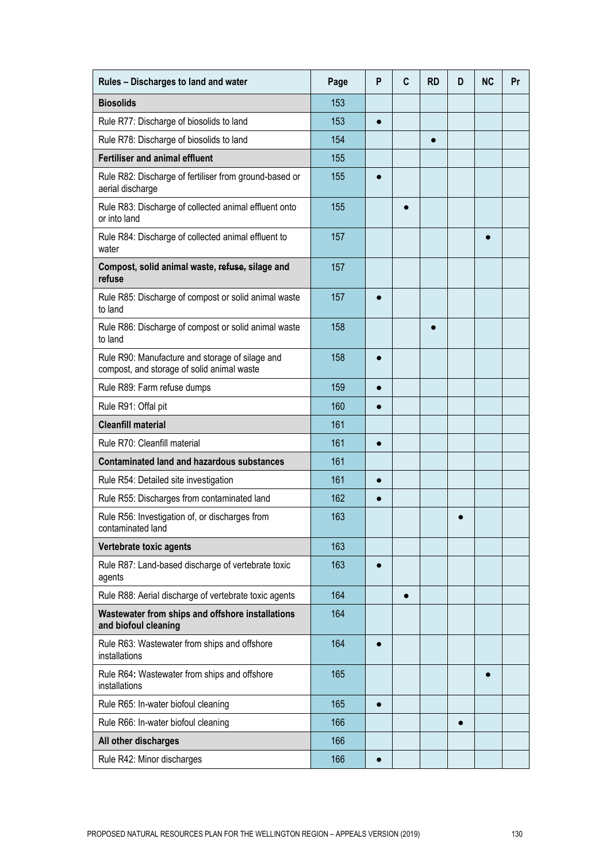| Rules - Discharges to land and water                                                          | Page | P         | C         | <b>RD</b> | D         | <b>NC</b> | Pr |
|-----------------------------------------------------------------------------------------------|------|-----------|-----------|-----------|-----------|-----------|----|
| <b>Biosolids</b>                                                                              | 153  |           |           |           |           |           |    |
| Rule R77: Discharge of biosolids to land                                                      | 153  | $\bullet$ |           |           |           |           |    |
| Rule R78: Discharge of biosolids to land                                                      | 154  |           |           | $\bullet$ |           |           |    |
| <b>Fertiliser and animal effluent</b>                                                         | 155  |           |           |           |           |           |    |
| Rule R82: Discharge of fertiliser from ground-based or<br>aerial discharge                    | 155  | $\bullet$ |           |           |           |           |    |
| Rule R83: Discharge of collected animal effluent onto<br>or into land                         | 155  |           |           |           |           |           |    |
| Rule R84: Discharge of collected animal effluent to<br>water                                  | 157  |           |           |           |           |           |    |
| Compost, solid animal waste, refuse, silage and<br>refuse                                     | 157  |           |           |           |           |           |    |
| Rule R85: Discharge of compost or solid animal waste<br>to land                               | 157  |           |           |           |           |           |    |
| Rule R86: Discharge of compost or solid animal waste<br>to land                               | 158  |           |           |           |           |           |    |
| Rule R90: Manufacture and storage of silage and<br>compost, and storage of solid animal waste | 158  |           |           |           |           |           |    |
| Rule R89: Farm refuse dumps                                                                   | 159  |           |           |           |           |           |    |
| Rule R91: Offal pit                                                                           | 160  |           |           |           |           |           |    |
| <b>Cleanfill material</b>                                                                     | 161  |           |           |           |           |           |    |
| Rule R70: Cleanfill material                                                                  | 161  |           |           |           |           |           |    |
| <b>Contaminated land and hazardous substances</b>                                             | 161  |           |           |           |           |           |    |
| Rule R54: Detailed site investigation                                                         | 161  |           |           |           |           |           |    |
| Rule R55: Discharges from contaminated land                                                   | 162  |           |           |           |           |           |    |
| Rule R56: Investigation of, or discharges from<br>contaminated land                           | 163  |           |           |           |           |           |    |
| Vertebrate toxic agents                                                                       | 163  |           |           |           |           |           |    |
| Rule R87: Land-based discharge of vertebrate toxic<br>agents                                  | 163  | $\bullet$ |           |           |           |           |    |
| Rule R88: Aerial discharge of vertebrate toxic agents                                         | 164  |           | $\bullet$ |           |           |           |    |
| Wastewater from ships and offshore installations<br>and biofoul cleaning                      | 164  |           |           |           |           |           |    |
| Rule R63: Wastewater from ships and offshore<br>installations                                 | 164  | $\bullet$ |           |           |           |           |    |
| Rule R64: Wastewater from ships and offshore<br>installations                                 | 165  |           |           |           |           | 0         |    |
| Rule R65: In-water biofoul cleaning                                                           | 165  | $\bullet$ |           |           |           |           |    |
| Rule R66: In-water biofoul cleaning                                                           | 166  |           |           |           | $\bullet$ |           |    |
| All other discharges                                                                          | 166  |           |           |           |           |           |    |
| Rule R42: Minor discharges                                                                    | 166  | $\bullet$ |           |           |           |           |    |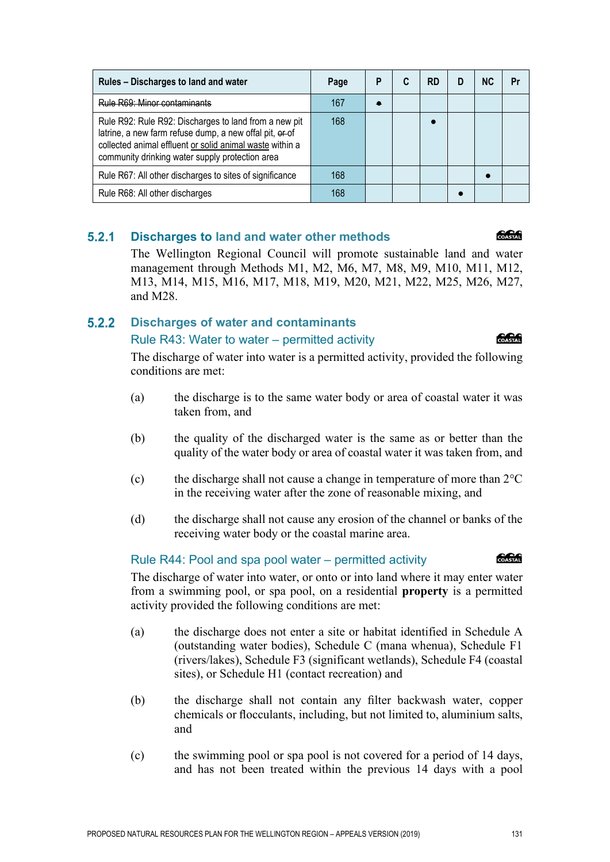| Rules - Discharges to land and water                                                                                                                                                                                            | Page | P | RD | <b>NC</b> | Pr |
|---------------------------------------------------------------------------------------------------------------------------------------------------------------------------------------------------------------------------------|------|---|----|-----------|----|
| Rule R69: Minor contaminants                                                                                                                                                                                                    | 167  |   |    |           |    |
| Rule R92: Rule R92: Discharges to land from a new pit<br>latrine, a new farm refuse dump, a new offal pit, er-of<br>collected animal effluent or solid animal waste within a<br>community drinking water supply protection area | 168  |   |    |           |    |
| Rule R67: All other discharges to sites of significance                                                                                                                                                                         | 168  |   |    |           |    |
| Rule R68: All other discharges                                                                                                                                                                                                  | 168  |   |    |           |    |
|                                                                                                                                                                                                                                 |      |   |    |           |    |

#### $5.2.1$ **Discharges to land and water other methods**

The Wellington Regional Council will promote sustainable land and water management through Methods M1, M2, M6, M7, M8, M9, M10, M11, M12, M13, M14, M15, M16, M17, M18, M19, M20, M21, M22, M25, M26, M27, and M28.

#### $5.2.2$ **Discharges of water and contaminants**

## Rule R43: Water to water – permitted activity

The discharge of water into water is a permitted activity, provided the following conditions are met:

- (a) the discharge is to the same water body or area of coastal water it was taken from, and
- (b) the quality of the discharged water is the same as or better than the quality of the water body or area of coastal water it was taken from, and
- (c) the discharge shall not cause a change in temperature of more than  $2^{\circ}C$ in the receiving water after the zone of reasonable mixing, and
- (d) the discharge shall not cause any erosion of the channel or banks of the receiving water body or the coastal marine area.

## Rule R44: Pool and spa pool water – permitted activity

The discharge of water into water, or onto or into land where it may enter water from a swimming pool, or spa pool, on a residential **property** is a permitted activity provided the following conditions are met:

- (a) the discharge does not enter a site or habitat identified in Schedule A (outstanding water bodies), Schedule C (mana whenua), Schedule F1 (rivers/lakes), Schedule F3 (significant wetlands), Schedule F4 (coastal sites), or Schedule H1 (contact recreation) and
- (b) the discharge shall not contain any filter backwash water, copper chemicals or flocculants, including, but not limited to, aluminium salts, and
- (c) the swimming pool or spa pool is not covered for a period of 14 days, and has not been treated within the previous 14 days with a pool



*<u> 2000 - 2000 - 2000 - 2000 - 2000 - 2000 - 2000 - 2000 - 2000 - 2000 - 2000 - 2000 - 2000 - 2000 - 2000 - 2000 - 2000 - 2000 - 2000 - 2000 - 2000 - 2000 - 2000 - 2000 - 2000 - 2000 - 2000 - 2000 - 2000 - 2000 - 2000 - 2*</u>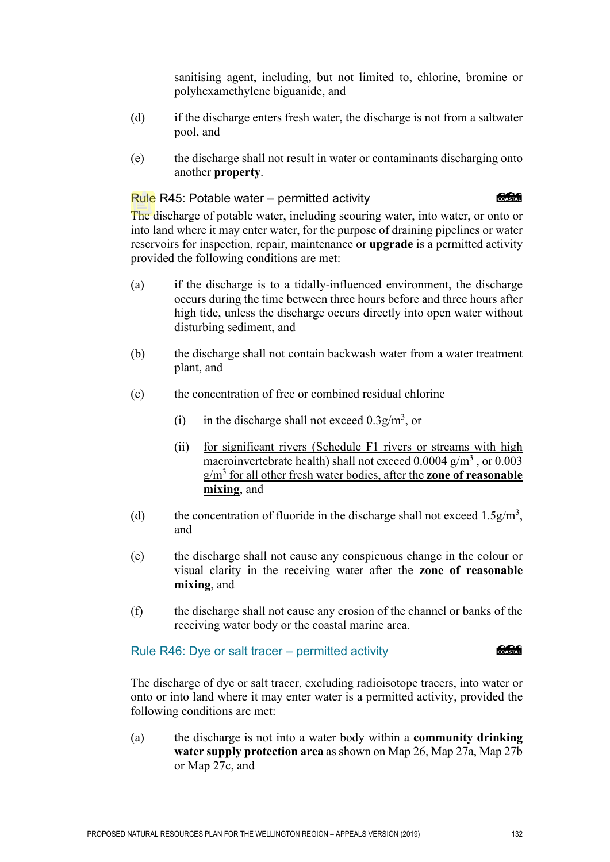sanitising agent, including, but not limited to, chlorine, bromine or polyhexamethylene biguanide, and

- (d) if the discharge enters fresh water, the discharge is not from a saltwater pool, and
- (e) the discharge shall not result in water or contaminants discharging onto another **property**.

# Rule R45: Potable water – permitted activity

COASTAL

The discharge of potable water, including scouring water, into water, or onto or into land where it may enter water, for the purpose of draining pipelines or water reservoirs for inspection, repair, maintenance or **upgrade** is a permitted activity provided the following conditions are met:

- (a) if the discharge is to a tidally-influenced environment, the discharge occurs during the time between three hours before and three hours after high tide, unless the discharge occurs directly into open water without disturbing sediment, and
- (b) the discharge shall not contain backwash water from a water treatment plant, and
- (c) the concentration of free or combined residual chlorine
	- (i) in the discharge shall not exceed  $0.3g/m<sup>3</sup>$ , or
	- (ii) for significant rivers (Schedule F1 rivers or streams with high macroinvertebrate health) shall not exceed  $0.0004$  g/m<sup>3</sup>, or  $0.003$ g/m<sup>3</sup> for all other fresh water bodies, after the **zone of reasonable mixing**, and
- (d) the concentration of fluoride in the discharge shall not exceed  $1.5g/m<sup>3</sup>$ , and
- (e) the discharge shall not cause any conspicuous change in the colour or visual clarity in the receiving water after the **zone of reasonable mixing**, and
- (f) the discharge shall not cause any erosion of the channel or banks of the receiving water body or the coastal marine area.

Rule R46: Dye or salt tracer – permitted activity

**COASTAL** 

The discharge of dye or salt tracer, excluding radioisotope tracers, into water or onto or into land where it may enter water is a permitted activity, provided the following conditions are met:

(a) the discharge is not into a water body within a **community drinking water supply protection area** as shown on Map 26, Map 27a, Map 27b or Map 27c, and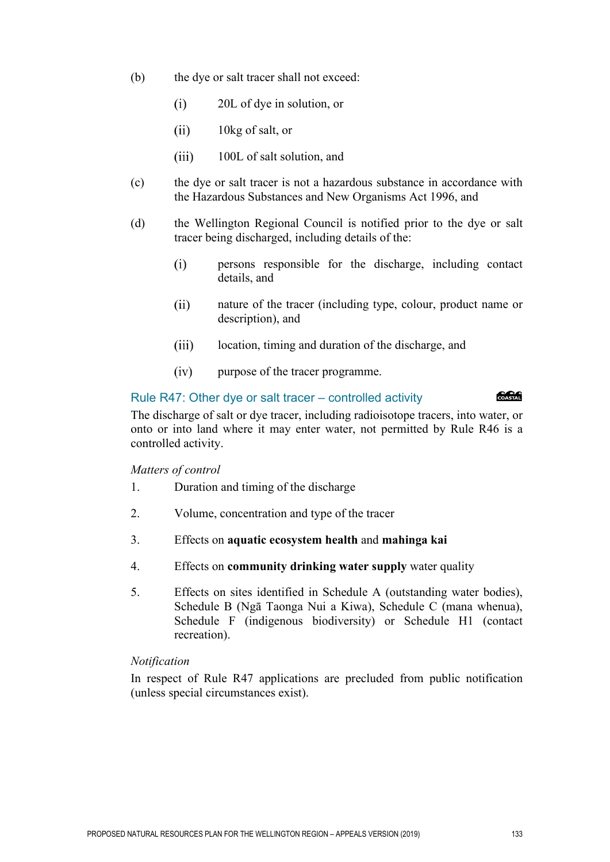- (b) the dye or salt tracer shall not exceed:
	- $(i)$ 20L of dye in solution, or
	- $(ii)$ 10kg of salt, or
	- $(iii)$ 100L of salt solution, and
- (c) the dye or salt tracer is not a hazardous substance in accordance with the Hazardous Substances and New Organisms Act 1996, and
- (d) the Wellington Regional Council is notified prior to the dye or salt tracer being discharged, including details of the:
	- $(i)$ persons responsible for the discharge, including contact details, and
	- nature of the tracer (including type, colour, product name or  $(ii)$ description), and
	- $(iii)$ location, timing and duration of the discharge, and
	- $(iv)$ purpose of the tracer programme.

#### Rule R47: Other dye or salt tracer – controlled activity

**RACK** 

The discharge of salt or dye tracer, including radioisotope tracers, into water, or onto or into land where it may enter water, not permitted by Rule R46 is a controlled activity.

#### *Matters of control*

- 1. Duration and timing of the discharge
- 2. Volume, concentration and type of the tracer
- 3. Effects on **aquatic ecosystem health** and **mahinga kai**
- 4. Effects on **community drinking water supply** water quality
- 5. Effects on sites identified in Schedule A (outstanding water bodies), Schedule B (Ngā Taonga Nui a Kiwa), Schedule C (mana whenua), Schedule F (indigenous biodiversity) or Schedule H1 (contact recreation).

#### *Notification*

In respect of Rule R47 applications are precluded from public notification (unless special circumstances exist).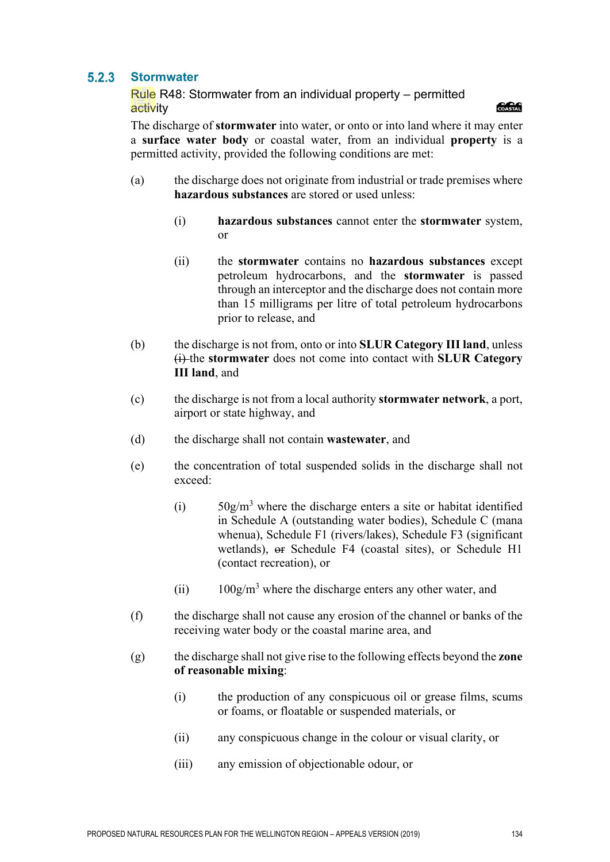#### $5.2.3$ **Stormwater**

Rule R48: Stormwater from an individual property – permitted activity



The discharge of **stormwater** into water, or onto or into land where it may enter a **surface water body** or coastal water, from an individual **property** is a permitted activity, provided the following conditions are met:

- (a) the discharge does not originate from industrial or trade premises where **hazardous substances** are stored or used unless:
	- (i) **hazardous substances** cannot enter the **stormwater** system, or
	- (ii) the **stormwater** contains no **hazardous substances** except petroleum hydrocarbons, and the **stormwater** is passed through an interceptor and the discharge does not contain more than 15 milligrams per litre of total petroleum hydrocarbons prior to release, and
- (b) the discharge is not from, onto or into **SLUR Category III land**, unless (i) the **stormwater** does not come into contact with **SLUR Category III land**, and
- (c) the discharge is not from a local authority **stormwater network**, a port, airport or state highway, and
- (d) the discharge shall not contain **wastewater**, and
- (e) the concentration of total suspended solids in the discharge shall not exceed:
	- (i)  $50g/m<sup>3</sup>$  where the discharge enters a site or habitat identified in Schedule A (outstanding water bodies), Schedule C (mana whenua), Schedule F1 (rivers/lakes), Schedule F3 (significant wetlands), or Schedule F4 (coastal sites), or Schedule H1 (contact recreation), or
	- (ii)  $100g/m<sup>3</sup>$  where the discharge enters any other water, and
- (f) the discharge shall not cause any erosion of the channel or banks of the receiving water body or the coastal marine area, and
- (g) the discharge shall not give rise to the following effects beyond the **zone of reasonable mixing**:
	- (i) the production of any conspicuous oil or grease films, scums or foams, or floatable or suspended materials, or
	- (ii) any conspicuous change in the colour or visual clarity, or
	- (iii) any emission of objectionable odour, or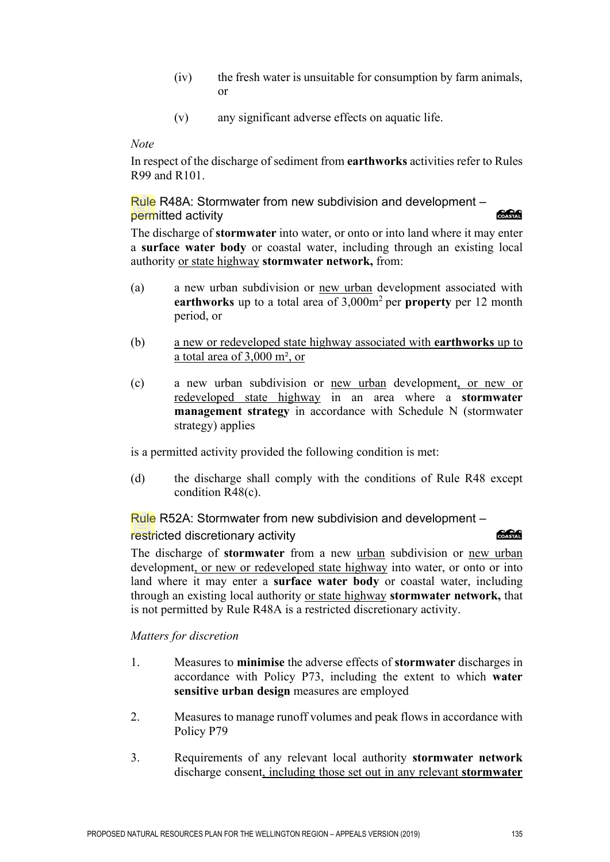- (iv) the fresh water is unsuitable for consumption by farm animals, or
- (v) any significant adverse effects on aquatic life.

In respect of the discharge of sediment from **earthworks** activities refer to Rules R99 and R101.

Rule R48A: Stormwater from new subdivision and development – COASTAL permitted activity

The discharge of **stormwater** into water, or onto or into land where it may enter a **surface water body** or coastal water, including through an existing local authority or state highway **stormwater network,** from:

- (a) a new urban subdivision or new urban development associated with **earthworks** up to a total area of 3,000m<sup>2</sup> per **property** per 12 month period, or
- (b) a new or redeveloped state highway associated with **earthworks** up to a total area of 3,000 m², or
- (c) a new urban subdivision or new urban development, or new or redeveloped state highway in an area where a **stormwater management strategy** in accordance with Schedule N (stormwater strategy) applies

is a permitted activity provided the following condition is met:

(d) the discharge shall comply with the conditions of Rule R48 except condition R48(c).

Rule R52A: Stormwater from new subdivision and development –

# restricted discretionary activity and the contract of the contract of the contract of the contract of the contract of the contract of the contract of the contract of the contract of the contract of the contract of the cont

The discharge of **stormwater** from a new urban subdivision or new urban development, or new or redeveloped state highway into water, or onto or into land where it may enter a **surface water body** or coastal water, including through an existing local authority or state highway **stormwater network,** that is not permitted by Rule R48A is a restricted discretionary activity.

# *Matters for discretion*

- 1. Measures to **minimise** the adverse effects of **stormwater** discharges in accordance with Policy P73, including the extent to which **water sensitive urban design** measures are employed
- 2. Measures to manage runoff volumes and peak flows in accordance with Policy P79
- 3. Requirements of any relevant local authority **stormwater network** discharge consent, including those set out in any relevant **stormwater**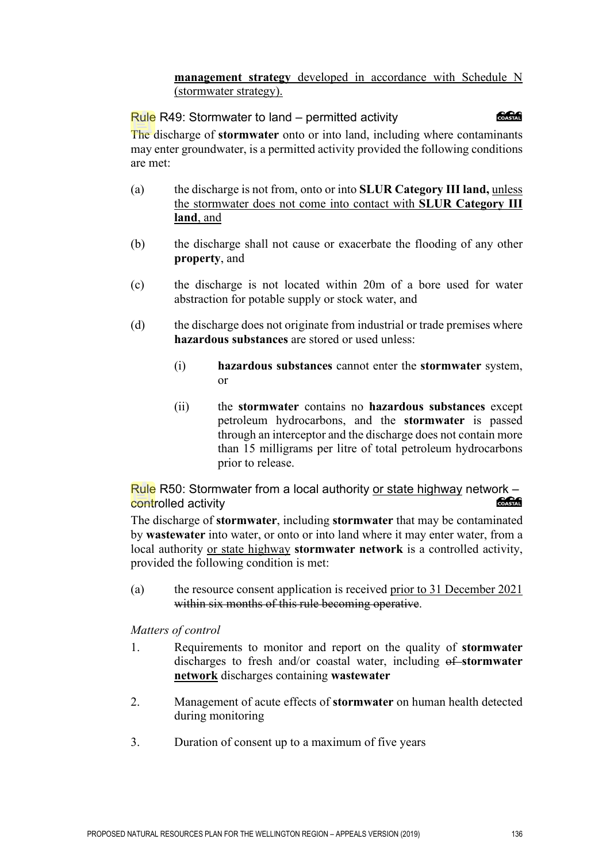# **management strategy** developed in accordance with Schedule N (stormwater strategy).

# Rule R49: Stormwater to land – permitted activity

க்கி

The discharge of **stormwater** onto or into land, including where contaminants may enter groundwater, is a permitted activity provided the following conditions are met:

- (a) the discharge is not from, onto or into **SLUR Category III land,** unless the stormwater does not come into contact with **SLUR Category III land**, and
- (b) the discharge shall not cause or exacerbate the flooding of any other **property**, and
- (c) the discharge is not located within 20m of a bore used for water abstraction for potable supply or stock water, and
- (d) the discharge does not originate from industrial or trade premises where **hazardous substances** are stored or used unless:
	- (i) **hazardous substances** cannot enter the **stormwater** system, or
	- (ii) the **stormwater** contains no **hazardous substances** except petroleum hydrocarbons, and the **stormwater** is passed through an interceptor and the discharge does not contain more than 15 milligrams per litre of total petroleum hydrocarbons prior to release.

Rule R50: Stormwater from a local authority or state highway network – COASTAL controlled activity

The discharge of **stormwater**, including **stormwater** that may be contaminated by **wastewater** into water, or onto or into land where it may enter water, from a local authority or state highway **stormwater network** is a controlled activity, provided the following condition is met:

(a) the resource consent application is received prior to 31 December 2021 within six months of this rule becoming operative.

*Matters of control* 

- 1. Requirements to monitor and report on the quality of **stormwater** discharges to fresh and/or coastal water, including  $\theta$ **f** stormwater **network** discharges containing **wastewater**
- 2. Management of acute effects of **stormwater** on human health detected during monitoring
- 3. Duration of consent up to a maximum of five years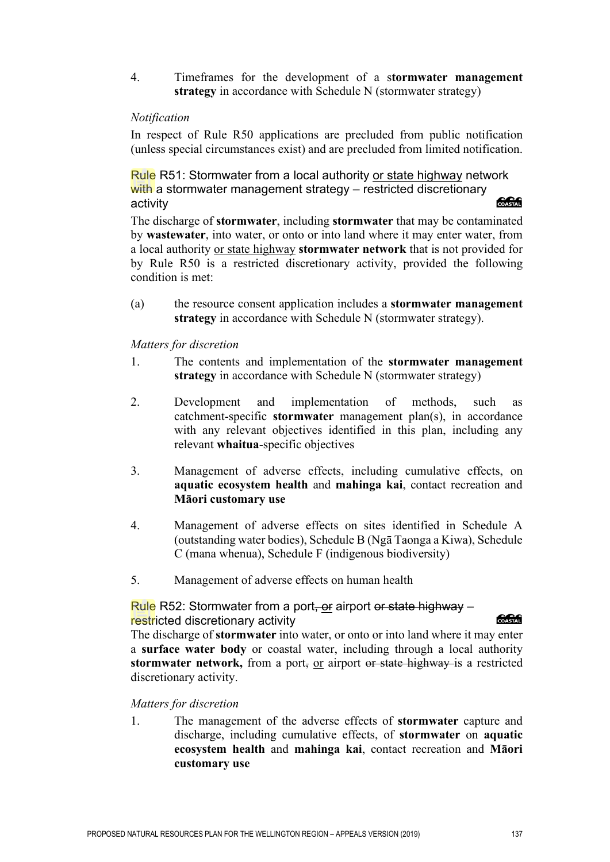4. Timeframes for the development of a s**tormwater management strategy** in accordance with Schedule N (stormwater strategy)

## *Notification*

In respect of Rule R50 applications are precluded from public notification (unless special circumstances exist) and are precluded from limited notification.

Rule R51: Stormwater from a local authority or state highway network with a stormwater management strategy – restricted discretionary activity

The discharge of **stormwater**, including **stormwater** that may be contaminated by **wastewater**, into water, or onto or into land where it may enter water, from a local authority or state highway **stormwater network** that is not provided for by Rule R50 is a restricted discretionary activity, provided the following condition is met:

(a) the resource consent application includes a **stormwater management strategy** in accordance with Schedule N (stormwater strategy).

## *Matters for discretion*

- 1. The contents and implementation of the **stormwater management strategy** in accordance with Schedule N (stormwater strategy)
- 2. Development and implementation of methods, such as catchment-specific **stormwater** management plan(s), in accordance with any relevant objectives identified in this plan, including any relevant **whaitua**-specific objectives
- 3. Management of adverse effects, including cumulative effects, on **aquatic ecosystem health** and **mahinga kai**, contact recreation and **Māori customary use**
- 4. Management of adverse effects on sites identified in Schedule A (outstanding water bodies), Schedule B (Ngā Taonga a Kiwa), Schedule C (mana whenua), Schedule F (indigenous biodiversity)
- 5. Management of adverse effects on human health

# Rule R52: Stormwater from a port, or airport or state highway – restricted discretionary activity

**CACA** 

The discharge of **stormwater** into water, or onto or into land where it may enter a **surface water body** or coastal water, including through a local authority **stormwater network,** from a port, or airport or state highway is a restricted discretionary activity.

## *Matters for discretion*

1. The management of the adverse effects of **stormwater** capture and discharge, including cumulative effects, of **stormwater** on **aquatic ecosystem health** and **mahinga kai**, contact recreation and **Māori customary use**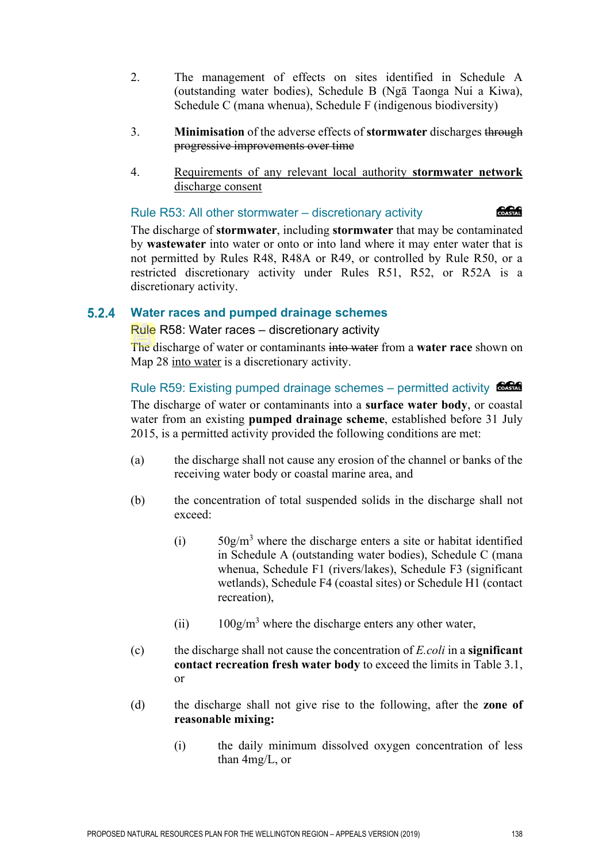- 2. The management of effects on sites identified in Schedule A (outstanding water bodies), Schedule B (Ngā Taonga Nui a Kiwa), Schedule C (mana whenua), Schedule F (indigenous biodiversity)
- 3. **Minimisation** of the adverse effects of **stormwater** discharges through progressive improvements over time
- 4. Requirements of any relevant local authority **stormwater network**  discharge consent

#### Rule R53: All other stormwater – discretionary activity

*<u> 2000 - 2000 - 2000 - 2000 - 2000 - 2000 - 2000 - 2000 - 2000 - 2000 - 2000 - 2000 - 2000 - 2000 - 2000 - 2000 - 2000 - 2000 - 2000 - 2000 - 2000 - 2000 - 2000 - 2000 - 2000 - 2000 - 2000 - 2000 - 2000 - 2000 - 2000 - 2*</u>

The discharge of **stormwater**, including **stormwater** that may be contaminated by **wastewater** into water or onto or into land where it may enter water that is not permitted by Rules R48, R48A or R49, or controlled by Rule R50, or a restricted discretionary activity under Rules R51, R52, or R52A is a discretionary activity.

#### $5.2.4$ **Water races and pumped drainage schemes**

Rule R58: Water races – discretionary activity

The discharge of water or contaminants into water from a **water race** shown on Map 28 into water is a discretionary activity.

Rule R59: Existing pumped drainage schemes – permitted activity

The discharge of water or contaminants into a **surface water body**, or coastal water from an existing **pumped drainage scheme**, established before 31 July 2015, is a permitted activity provided the following conditions are met:

- (a) the discharge shall not cause any erosion of the channel or banks of the receiving water body or coastal marine area, and
- (b) the concentration of total suspended solids in the discharge shall not exceed:
	- (i)  $50g/m<sup>3</sup>$  where the discharge enters a site or habitat identified in Schedule A (outstanding water bodies), Schedule C (mana whenua, Schedule F1 (rivers/lakes), Schedule F3 (significant wetlands), Schedule F4 (coastal sites) or Schedule H1 (contact recreation),
	- (ii)  $100g/m<sup>3</sup>$  where the discharge enters any other water,
- (c) the discharge shall not cause the concentration of *E.coli* in a **significant contact recreation fresh water body** to exceed the limits in Table 3.1, or
- (d) the discharge shall not give rise to the following, after the **zone of reasonable mixing:** 
	- (i) the daily minimum dissolved oxygen concentration of less than 4mg/L, or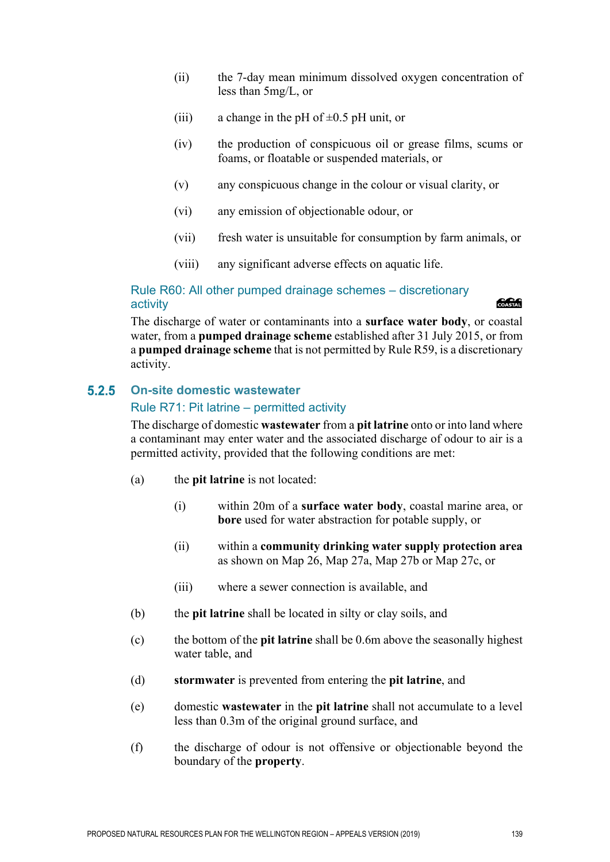- (ii) the 7-day mean minimum dissolved oxygen concentration of less than 5mg/L, or
- (iii) a change in the pH of  $\pm 0.5$  pH unit, or
- (iv) the production of conspicuous oil or grease films, scums or foams, or floatable or suspended materials, or
- (v) any conspicuous change in the colour or visual clarity, or
- (vi) any emission of objectionable odour, or
- (vii) fresh water is unsuitable for consumption by farm animals, or
- (viii) any significant adverse effects on aquatic life.

# Rule R60: All other pumped drainage schemes – discretionary activity

# *<u> SSSSS</u>*

The discharge of water or contaminants into a **surface water body**, or coastal water, from a **pumped drainage scheme** established after 31 July 2015, or from a **pumped drainage scheme** that is not permitted by Rule R59, is a discretionary activity.

#### $5.2.5$ **On-site domestic wastewater** Rule R71: Pit latrine – permitted activity

The discharge of domestic **wastewater** from a **pit latrine** onto or into land where a contaminant may enter water and the associated discharge of odour to air is a permitted activity, provided that the following conditions are met:

- (a) the **pit latrine** is not located:
	- (i) within 20m of a **surface water body**, coastal marine area, or **bore** used for water abstraction for potable supply, or
	- (ii) within a **community drinking water supply protection area** as shown on Map 26, Map 27a, Map 27b or Map 27c, or
	- (iii) where a sewer connection is available, and
- (b) the **pit latrine** shall be located in silty or clay soils, and
- (c) the bottom of the **pit latrine** shall be 0.6m above the seasonally highest water table, and
- (d) **stormwater** is prevented from entering the **pit latrine**, and
- (e) domestic **wastewater** in the **pit latrine** shall not accumulate to a level less than 0.3m of the original ground surface, and
- (f) the discharge of odour is not offensive or objectionable beyond the boundary of the **property**.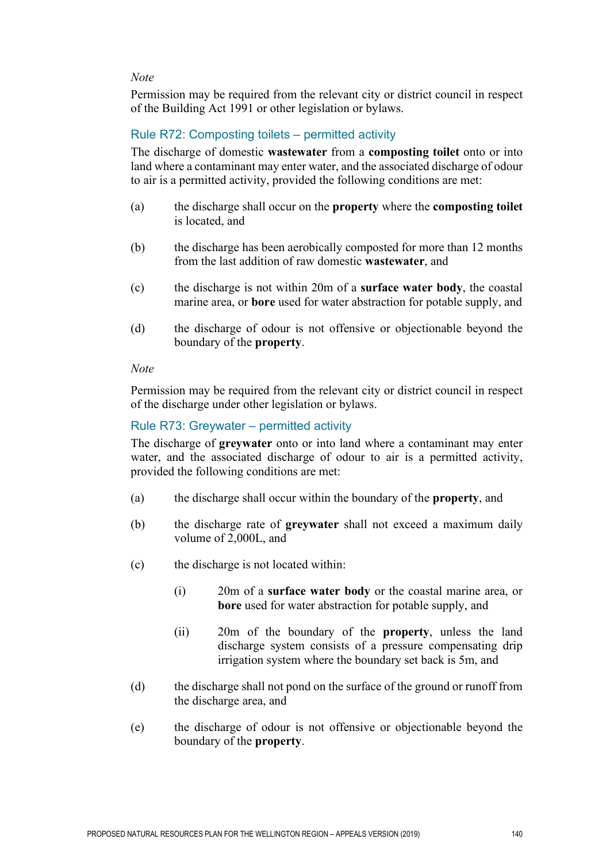Permission may be required from the relevant city or district council in respect of the Building Act 1991 or other legislation or bylaws.

# Rule R72: Composting toilets – permitted activity

The discharge of domestic **wastewater** from a **composting toilet** onto or into land where a contaminant may enter water, and the associated discharge of odour to air is a permitted activity, provided the following conditions are met:

- (a) the discharge shall occur on the **property** where the **composting toilet** is located, and
- (b) the discharge has been aerobically composted for more than 12 months from the last addition of raw domestic **wastewater**, and
- (c) the discharge is not within 20m of a **surface water body**, the coastal marine area, or **bore** used for water abstraction for potable supply, and
- (d) the discharge of odour is not offensive or objectionable beyond the boundary of the **property**.

# *Note*

Permission may be required from the relevant city or district council in respect of the discharge under other legislation or bylaws.

# Rule R73: Greywater – permitted activity

The discharge of **greywater** onto or into land where a contaminant may enter water, and the associated discharge of odour to air is a permitted activity, provided the following conditions are met:

- (a) the discharge shall occur within the boundary of the **property**, and
- (b) the discharge rate of **greywater** shall not exceed a maximum daily volume of 2,000L, and
- (c) the discharge is not located within:
	- (i) 20m of a **surface water body** or the coastal marine area, or **bore** used for water abstraction for potable supply, and
	- (ii) 20m of the boundary of the **property**, unless the land discharge system consists of a pressure compensating drip irrigation system where the boundary set back is 5m, and
- (d) the discharge shall not pond on the surface of the ground or runoff from the discharge area, and
- (e) the discharge of odour is not offensive or objectionable beyond the boundary of the **property**.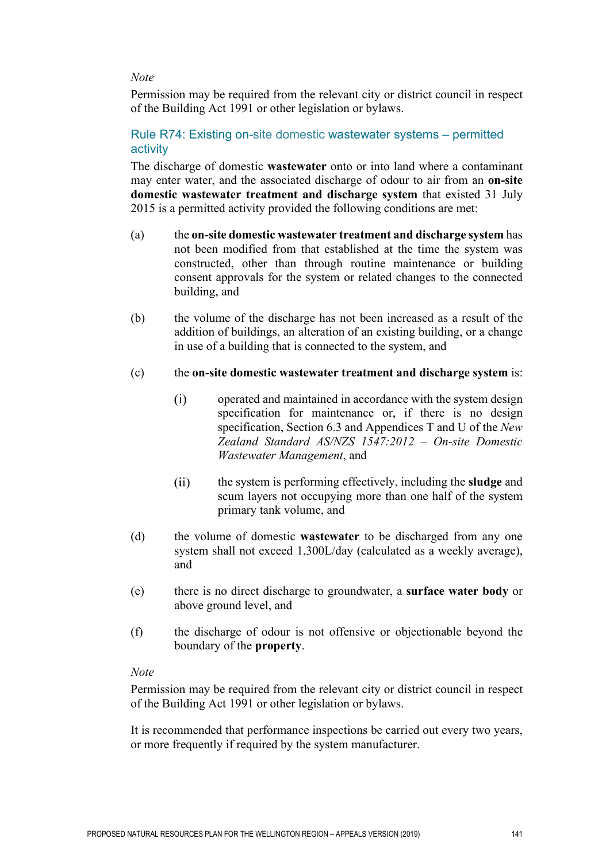Permission may be required from the relevant city or district council in respect of the Building Act 1991 or other legislation or bylaws.

# Rule R74: Existing on-site domestic wastewater systems – permitted activity

The discharge of domestic **wastewater** onto or into land where a contaminant may enter water, and the associated discharge of odour to air from an **on-site domestic wastewater treatment and discharge system** that existed 31 July 2015 is a permitted activity provided the following conditions are met:

- (a) the **on-site domestic wastewater treatment and discharge system** has not been modified from that established at the time the system was constructed, other than through routine maintenance or building consent approvals for the system or related changes to the connected building, and
- (b) the volume of the discharge has not been increased as a result of the addition of buildings, an alteration of an existing building, or a change in use of a building that is connected to the system, and

# (c) the **on-site domestic wastewater treatment and discharge system** is:

- $(i)$ operated and maintained in accordance with the system design specification for maintenance or, if there is no design specification, Section 6.3 and Appendices T and U of the *New Zealand Standard AS/NZS 1547:2012 – On-site Domestic Wastewater Management*, and
- $(ii)$ the system is performing effectively, including the **sludge** and scum layers not occupying more than one half of the system primary tank volume, and
- (d) the volume of domestic **wastewater** to be discharged from any one system shall not exceed 1,300L/day (calculated as a weekly average), and
- (e) there is no direct discharge to groundwater, a **surface water body** or above ground level, and
- (f) the discharge of odour is not offensive or objectionable beyond the boundary of the **property**.

## *Note*

Permission may be required from the relevant city or district council in respect of the Building Act 1991 or other legislation or bylaws.

It is recommended that performance inspections be carried out every two years, or more frequently if required by the system manufacturer.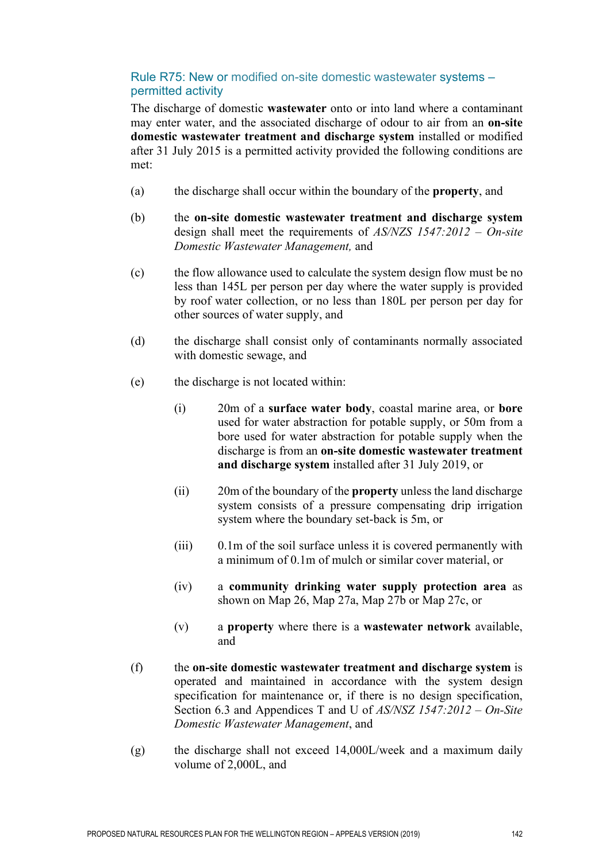# Rule R75: New or modified on-site domestic wastewater systems – permitted activity

The discharge of domestic **wastewater** onto or into land where a contaminant may enter water, and the associated discharge of odour to air from an **on-site domestic wastewater treatment and discharge system** installed or modified after 31 July 2015 is a permitted activity provided the following conditions are met:

- (a) the discharge shall occur within the boundary of the **property**, and
- (b) the **on-site domestic wastewater treatment and discharge system** design shall meet the requirements of *AS/NZS 1547:2012 – On-site Domestic Wastewater Management,* and
- (c) the flow allowance used to calculate the system design flow must be no less than 145L per person per day where the water supply is provided by roof water collection, or no less than 180L per person per day for other sources of water supply, and
- (d) the discharge shall consist only of contaminants normally associated with domestic sewage, and
- (e) the discharge is not located within:
	- (i) 20m of a **surface water body**, coastal marine area, or **bore**  used for water abstraction for potable supply, or 50m from a bore used for water abstraction for potable supply when the discharge is from an **on-site domestic wastewater treatment and discharge system** installed after 31 July 2019, or
	- (ii) 20m of the boundary of the **property** unless the land discharge system consists of a pressure compensating drip irrigation system where the boundary set-back is 5m, or
	- (iii) 0.1m of the soil surface unless it is covered permanently with a minimum of 0.1m of mulch or similar cover material, or
	- (iv) a **community drinking water supply protection area** as shown on Map 26, Map 27a, Map 27b or Map 27c, or
	- (v) a **property** where there is a **wastewater network** available, and
- (f) the **on-site domestic wastewater treatment and discharge system** is operated and maintained in accordance with the system design specification for maintenance or, if there is no design specification, Section 6.3 and Appendices T and U of *AS/NSZ 1547:2012 – On-Site Domestic Wastewater Management*, and
- (g) the discharge shall not exceed 14,000L/week and a maximum daily volume of 2,000L, and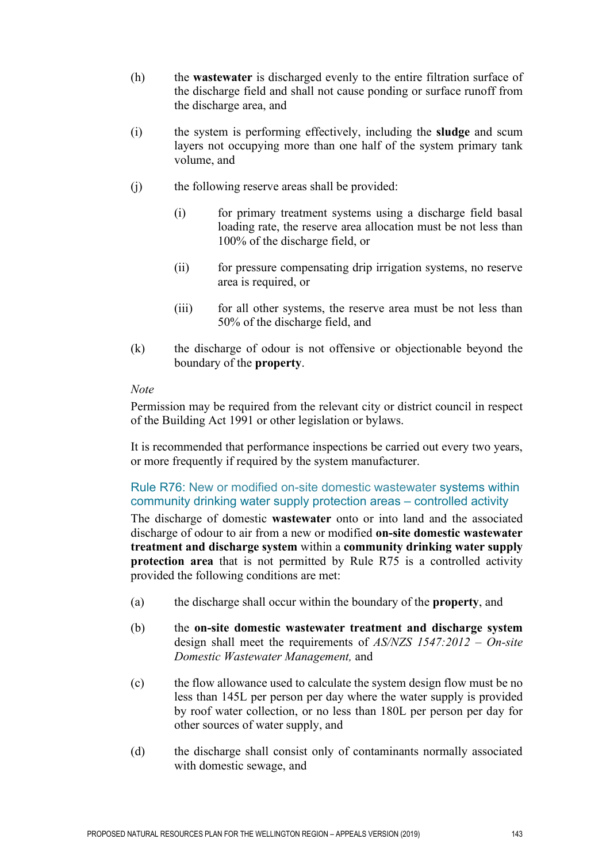- (h) the **wastewater** is discharged evenly to the entire filtration surface of the discharge field and shall not cause ponding or surface runoff from the discharge area, and
- (i) the system is performing effectively, including the **sludge** and scum layers not occupying more than one half of the system primary tank volume, and
- (j) the following reserve areas shall be provided:
	- (i) for primary treatment systems using a discharge field basal loading rate, the reserve area allocation must be not less than 100% of the discharge field, or
	- (ii) for pressure compensating drip irrigation systems, no reserve area is required, or
	- (iii) for all other systems, the reserve area must be not less than 50% of the discharge field, and
- (k) the discharge of odour is not offensive or objectionable beyond the boundary of the **property**.

Permission may be required from the relevant city or district council in respect of the Building Act 1991 or other legislation or bylaws.

It is recommended that performance inspections be carried out every two years, or more frequently if required by the system manufacturer.

# Rule R76: New or modified on-site domestic wastewater systems within community drinking water supply protection areas – controlled activity

The discharge of domestic **wastewater** onto or into land and the associated discharge of odour to air from a new or modified **on-site domestic wastewater treatment and discharge system** within a **community drinking water supply protection area** that is not permitted by Rule R75 is a controlled activity provided the following conditions are met:

- (a) the discharge shall occur within the boundary of the **property**, and
- (b) the **on-site domestic wastewater treatment and discharge system** design shall meet the requirements of *AS/NZS 1547:2012 – On-site Domestic Wastewater Management,* and
- (c) the flow allowance used to calculate the system design flow must be no less than 145L per person per day where the water supply is provided by roof water collection, or no less than 180L per person per day for other sources of water supply, and
- (d) the discharge shall consist only of contaminants normally associated with domestic sewage, and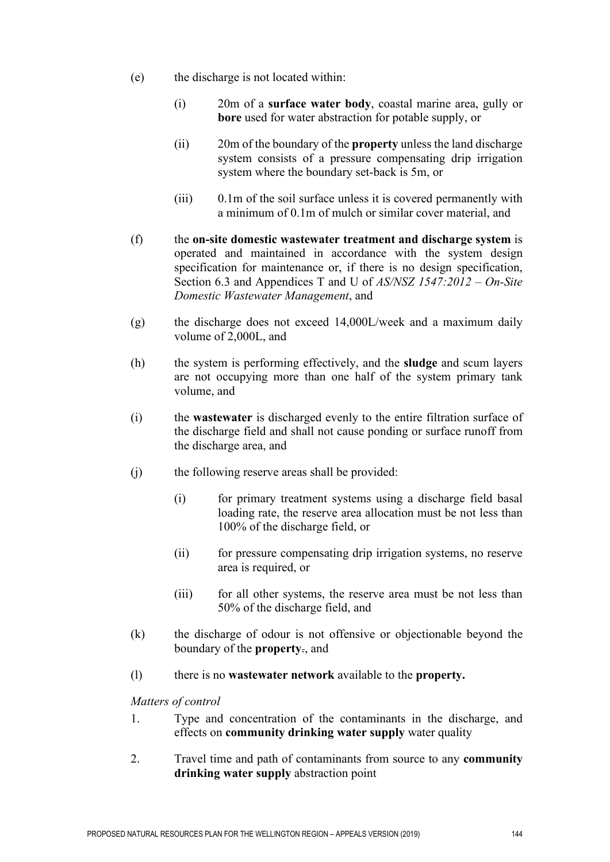- (e) the discharge is not located within:
	- (i) 20m of a **surface water body**, coastal marine area, gully or **bore** used for water abstraction for potable supply, or
	- (ii) 20m of the boundary of the **property** unless the land discharge system consists of a pressure compensating drip irrigation system where the boundary set-back is 5m, or
	- (iii) 0.1m of the soil surface unless it is covered permanently with a minimum of 0.1m of mulch or similar cover material, and
- (f) the **on-site domestic wastewater treatment and discharge system** is operated and maintained in accordance with the system design specification for maintenance or, if there is no design specification, Section 6.3 and Appendices T and U of *AS/NSZ 1547:2012 – On-Site Domestic Wastewater Management*, and
- (g) the discharge does not exceed 14,000L/week and a maximum daily volume of 2,000L, and
- (h) the system is performing effectively, and the **sludge** and scum layers are not occupying more than one half of the system primary tank volume, and
- (i) the **wastewater** is discharged evenly to the entire filtration surface of the discharge field and shall not cause ponding or surface runoff from the discharge area, and
- (j) the following reserve areas shall be provided:
	- (i) for primary treatment systems using a discharge field basal loading rate, the reserve area allocation must be not less than 100% of the discharge field, or
	- (ii) for pressure compensating drip irrigation systems, no reserve area is required, or
	- (iii) for all other systems, the reserve area must be not less than 50% of the discharge field, and
- (k) the discharge of odour is not offensive or objectionable beyond the boundary of the **property**., and
- (l) there is no **wastewater network** available to the **property.**

*Matters of control*

- 1. Type and concentration of the contaminants in the discharge, and effects on **community drinking water supply** water quality
- 2. Travel time and path of contaminants from source to any **community drinking water supply** abstraction point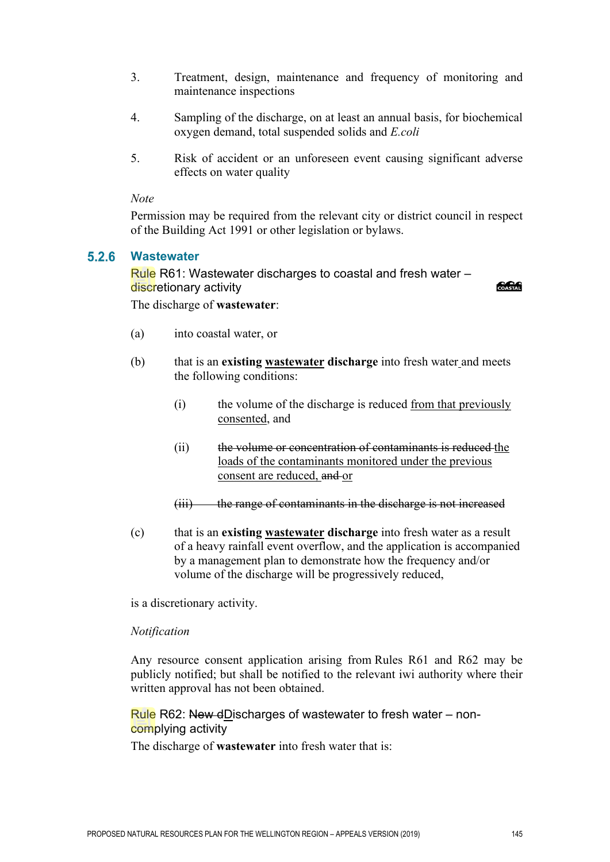- 3. Treatment, design, maintenance and frequency of monitoring and maintenance inspections
- 4. Sampling of the discharge, on at least an annual basis, for biochemical oxygen demand, total suspended solids and *E.coli*
- 5. Risk of accident or an unforeseen event causing significant adverse effects on water quality

Permission may be required from the relevant city or district council in respect of the Building Act 1991 or other legislation or bylaws.

#### $5.2.6$ **Wastewater**

Rule R61: Wastewater discharges to coastal and fresh water – discretionary activity

COASTAL

The discharge of **wastewater**:

- (a) into coastal water, or
- (b) that is an **existing wastewater discharge** into fresh water and meets the following conditions:
	- (i) the volume of the discharge is reduced from that previously consented, and
	- (ii) the volume or concentration of contaminants is reduced the loads of the contaminants monitored under the previous consent are reduced, and or
	- (iii) the range of contaminants in the discharge is not increased
- (c) that is an **existing wastewater discharge** into fresh water as a result of a heavy rainfall event overflow, and the application is accompanied by a management plan to demonstrate how the frequency and/or volume of the discharge will be progressively reduced,

is a discretionary activity.

#### *Notification*

Any resource consent application arising from Rules R61 and R62 may be publicly notified; but shall be notified to the relevant iwi authority where their written approval has not been obtained.

Rule R62: New dDischarges of wastewater to fresh water – noncomplying activity

The discharge of **wastewater** into fresh water that is: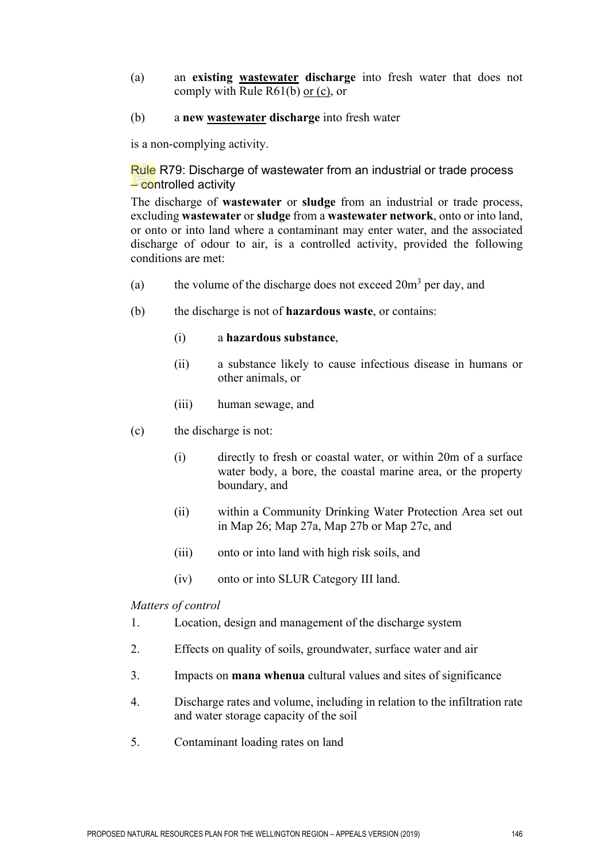- (a) an **existing wastewater discharge** into fresh water that does not comply with Rule R61(b) or (c), or
- (b) a **new wastewater discharge** into fresh water

is a non-complying activity.

Rule R79: Discharge of wastewater from an industrial or trade process – controlled activity

The discharge of **wastewater** or **sludge** from an industrial or trade process, excluding **wastewater** or **sludge** from a **wastewater network**, onto or into land, or onto or into land where a contaminant may enter water, and the associated discharge of odour to air, is a controlled activity, provided the following conditions are met:

- (a) the volume of the discharge does not exceed  $20m<sup>3</sup>$  per day, and
- (b) the discharge is not of **hazardous waste**, or contains:
	- (i) a **hazardous substance**,
	- (ii) a substance likely to cause infectious disease in humans or other animals, or
	- (iii) human sewage, and
- (c) the discharge is not:
	- (i) directly to fresh or coastal water, or within 20m of a surface water body, a bore, the coastal marine area, or the property boundary, and
	- (ii) within a Community Drinking Water Protection Area set out in Map 26; Map 27a, Map 27b or Map 27c, and
	- (iii) onto or into land with high risk soils, and
	- (iv) onto or into SLUR Category III land.

#### *Matters of control*

- 1. Location, design and management of the discharge system
- 2. Effects on quality of soils, groundwater, surface water and air
- 3. Impacts on **mana whenua** cultural values and sites of significance
- 4. Discharge rates and volume, including in relation to the infiltration rate and water storage capacity of the soil
- 5. Contaminant loading rates on land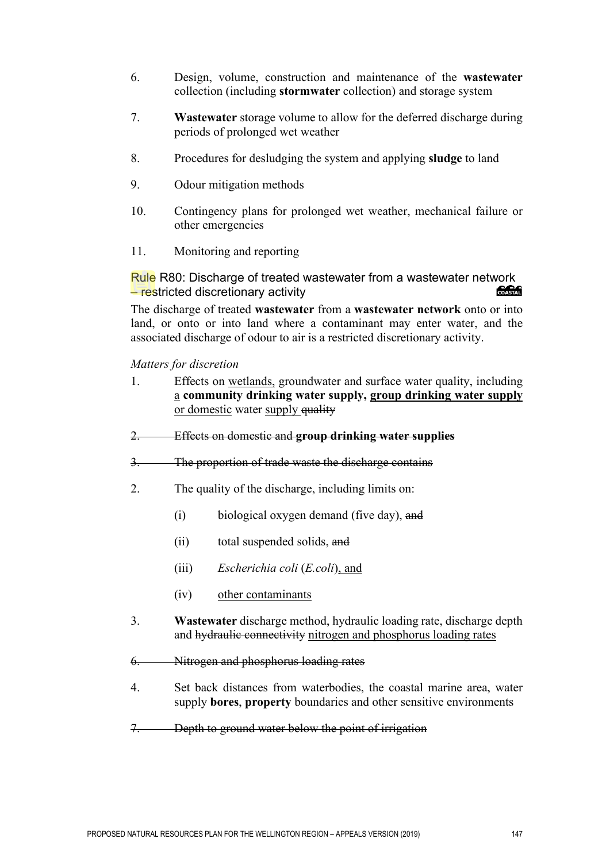- 6. Design, volume, construction and maintenance of the **wastewater** collection (including **stormwater** collection) and storage system
- 7. **Wastewater** storage volume to allow for the deferred discharge during periods of prolonged wet weather
- 8. Procedures for desludging the system and applying **sludge** to land
- 9. Odour mitigation methods
- 10. Contingency plans for prolonged wet weather, mechanical failure or other emergencies
- 11. Monitoring and reporting

Rule R80: Discharge of treated wastewater from a wastewater network – restricted discretionary activity

The discharge of treated **wastewater** from a **wastewater network** onto or into land, or onto or into land where a contaminant may enter water, and the associated discharge of odour to air is a restricted discretionary activity.

*Matters for discretion*

- 1. Effects on wetlands, groundwater and surface water quality, including a **community drinking water supply, group drinking water supply** or domestic water supply quality
- 2. Effects on domestic and **group drinking water supplies**
- 3. The proportion of trade waste the discharge contains
- 2. The quality of the discharge, including limits on:
	- (i) biological oxygen demand (five day), and
	- (ii) total suspended solids, and
	- (iii) *Escherichia coli* (*E.coli*), and
	- (iv) other contaminants
- 3. **Wastewater** discharge method, hydraulic loading rate, discharge depth and hydraulic connectivity nitrogen and phosphorus loading rates
- 6. Nitrogen and phosphorus loading rates
- 4. Set back distances from waterbodies, the coastal marine area, water supply **bores**, **property** boundaries and other sensitive environments
- 7. Depth to ground water below the point of irrigation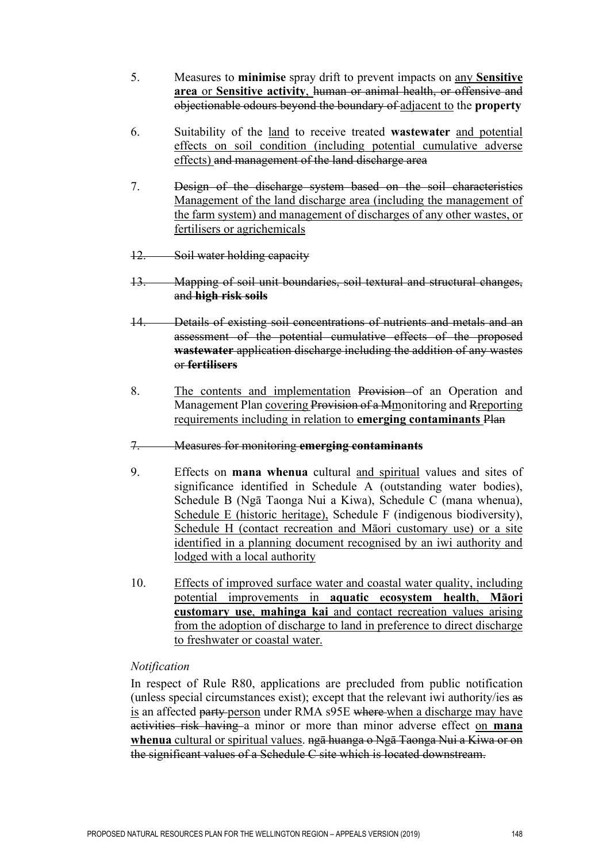- 5. Measures to **minimise** spray drift to prevent impacts on any **Sensitive area** or **Sensitive activity**, human or animal health, or offensive and objectionable odours beyond the boundary of adjacent to the **property**
- 6. Suitability of the land to receive treated **wastewater** and potential effects on soil condition (including potential cumulative adverse effects) and management of the land discharge area
- 7. Design of the discharge system based on the soil characteristics Management of the land discharge area (including the management of the farm system) and management of discharges of any other wastes, or fertilisers or agrichemicals
- 12. Soil water holding capacity
- 13. Mapping of soil unit boundaries, soil textural and structural changes, and **high risk soils**
- 14. Details of existing soil concentrations of nutrients and metals and an assessment of the potential cumulative effects of the proposed **wastewater** application discharge including the addition of any wastes or **fertilisers**
- 8. The contents and implementation Provision of an Operation and Management Plan covering Provision of a Mmonitoring and Rreporting requirements including in relation to **emerging contaminants** Plan
- 7. Measures for monitoring **emerging contaminants**
- 9. Effects on **mana whenua** cultural and spiritual values and sites of significance identified in Schedule A (outstanding water bodies), Schedule B (Ngā Taonga Nui a Kiwa), Schedule C (mana whenua), Schedule E (historic heritage), Schedule F (indigenous biodiversity), Schedule H (contact recreation and Māori customary use) or a site identified in a planning document recognised by an iwi authority and lodged with a local authority
- 10. Effects of improved surface water and coastal water quality, including potential improvements in **aquatic ecosystem health**, **Māori customary use**, **mahinga kai** and contact recreation values arising from the adoption of discharge to land in preference to direct discharge to freshwater or coastal water.

## *Notification*

In respect of Rule R80, applications are precluded from public notification (unless special circumstances exist); except that the relevant iwi authority/ies as is an affected party person under RMA s95E where when a discharge may have activities risk having a minor or more than minor adverse effect on **mana whenua** cultural or spiritual values. ngā huanga o Ngā Taonga Nui a Kiwa or on the significant values of a Schedule C site which is located downstream.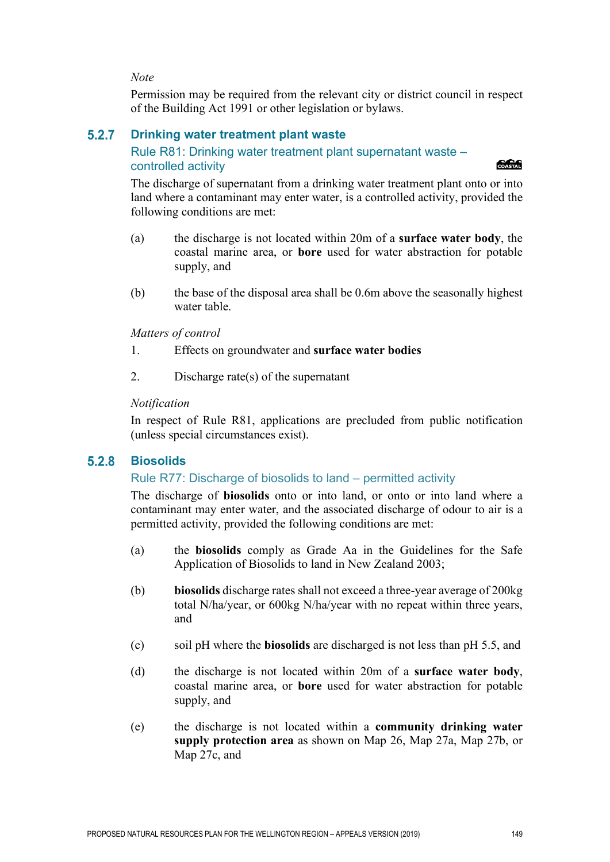Permission may be required from the relevant city or district council in respect of the Building Act 1991 or other legislation or bylaws.

#### $5.2.7$ **Drinking water treatment plant waste**

# Rule R81: Drinking water treatment plant supernatant waste – controlled activity

**Concrete** 

The discharge of supernatant from a drinking water treatment plant onto or into land where a contaminant may enter water, is a controlled activity, provided the following conditions are met:

- (a) the discharge is not located within 20m of a **surface water body**, the coastal marine area, or **bore** used for water abstraction for potable supply, and
- (b) the base of the disposal area shall be 0.6m above the seasonally highest water table.

*Matters of control*

- 1. Effects on groundwater and **surface water bodies**
- 2. Discharge rate(s) of the supernatant

## *Notification*

In respect of Rule R81, applications are precluded from public notification (unless special circumstances exist).

#### $5.2.8$ **Biosolids**

# Rule R77: Discharge of biosolids to land – permitted activity

The discharge of **biosolids** onto or into land, or onto or into land where a contaminant may enter water, and the associated discharge of odour to air is a permitted activity, provided the following conditions are met:

- (a) the **biosolids** comply as Grade Aa in the Guidelines for the Safe Application of Biosolids to land in New Zealand 2003;
- (b) **biosolids** discharge rates shall not exceed a three-year average of 200kg total N/ha/year, or 600kg N/ha/year with no repeat within three years, and
- (c) soil pH where the **biosolids** are discharged is not less than pH 5.5, and
- (d) the discharge is not located within 20m of a **surface water body**, coastal marine area, or **bore** used for water abstraction for potable supply, and
- (e) the discharge is not located within a **community drinking water supply protection area** as shown on Map 26, Map 27a, Map 27b, or Map 27c, and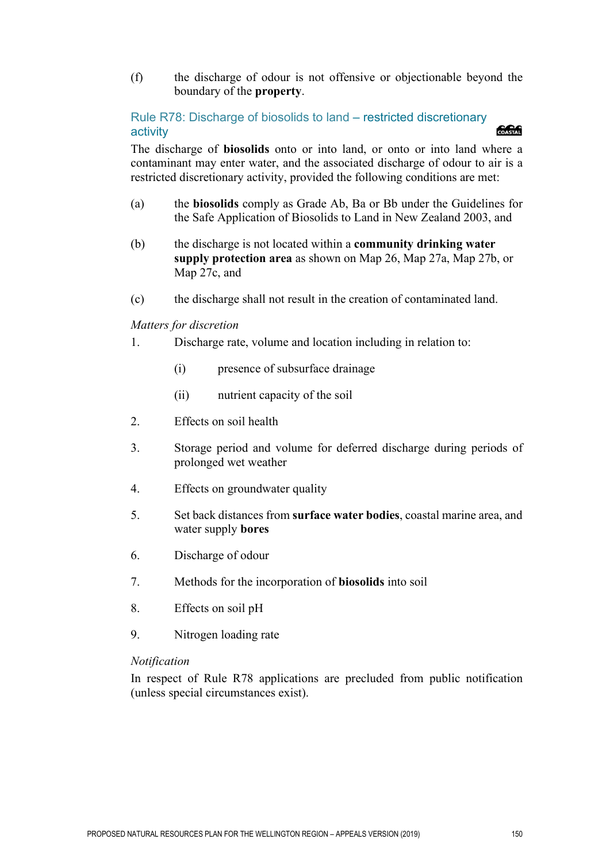(f) the discharge of odour is not offensive or objectionable beyond the boundary of the **property**.

# Rule R78: Discharge of biosolids to land – restricted discretionary activity

The discharge of **biosolids** onto or into land, or onto or into land where a contaminant may enter water, and the associated discharge of odour to air is a restricted discretionary activity, provided the following conditions are met:

- (a) the **biosolids** comply as Grade Ab, Ba or Bb under the Guidelines for the Safe Application of Biosolids to Land in New Zealand 2003, and
- (b) the discharge is not located within a **community drinking water supply protection area** as shown on Map 26, Map 27a, Map 27b, or Map 27c, and
- (c) the discharge shall not result in the creation of contaminated land.

## *Matters for discretion*

- 1. Discharge rate, volume and location including in relation to:
	- (i) presence of subsurface drainage
	- (ii) nutrient capacity of the soil
- 2. Effects on soil health
- 3. Storage period and volume for deferred discharge during periods of prolonged wet weather
- 4. Effects on groundwater quality
- 5. Set back distances from **surface water bodies**, coastal marine area, and water supply **bores**
- 6. Discharge of odour
- 7. Methods for the incorporation of **biosolids** into soil
- 8. Effects on soil pH
- 9. Nitrogen loading rate

#### *Notification*

In respect of Rule R78 applications are precluded from public notification (unless special circumstances exist).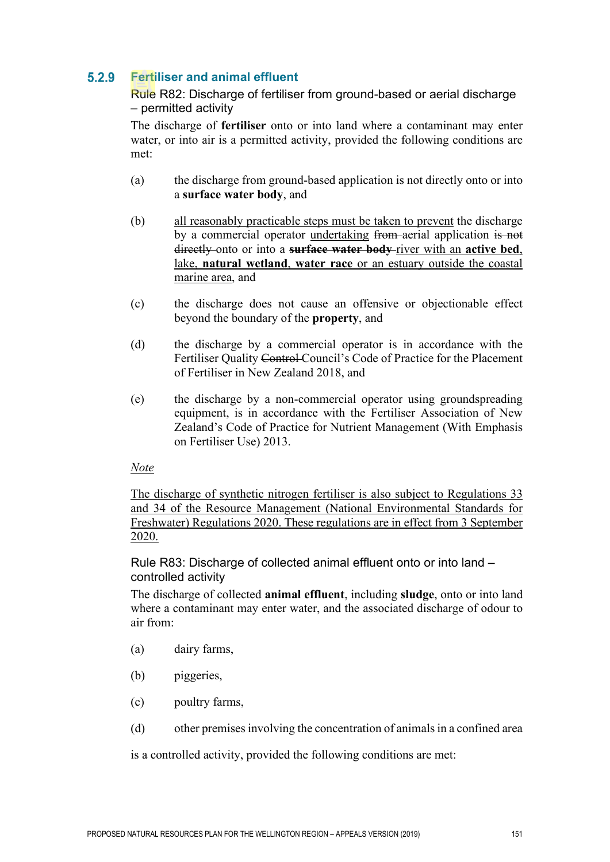#### $5.2.9$ **Fertiliser and animal effluent**

Rule R82: Discharge of fertiliser from ground-based or aerial discharge – permitted activity

The discharge of **fertiliser** onto or into land where a contaminant may enter water, or into air is a permitted activity, provided the following conditions are met:

- (a) the discharge from ground-based application is not directly onto or into a **surface water body**, and
- (b) all reasonably practicable steps must be taken to prevent the discharge by a commercial operator undertaking from aerial application is not directly onto or into a **surface water body** river with an **active bed**, lake, **natural wetland**, **water race** or an estuary outside the coastal marine area, and
- (c) the discharge does not cause an offensive or objectionable effect beyond the boundary of the **property**, and
- (d) the discharge by a commercial operator is in accordance with the Fertiliser Quality Control Council's Code of Practice for the Placement of Fertiliser in New Zealand 2018, and
- (e) the discharge by a non-commercial operator using groundspreading equipment, is in accordance with the Fertiliser Association of New Zealand's Code of Practice for Nutrient Management (With Emphasis on Fertiliser Use) 2013.

# *Note*

The discharge of synthetic nitrogen fertiliser is also subject to Regulations 33 and 34 of the Resource Management (National Environmental Standards for Freshwater) Regulations 2020. These regulations are in effect from 3 September 2020.

Rule R83: Discharge of collected animal effluent onto or into land – controlled activity

The discharge of collected **animal effluent**, including **sludge**, onto or into land where a contaminant may enter water, and the associated discharge of odour to air from:

- (a) dairy farms,
- (b) piggeries,
- (c) poultry farms,
- (d) other premises involving the concentration of animals in a confined area

is a controlled activity, provided the following conditions are met: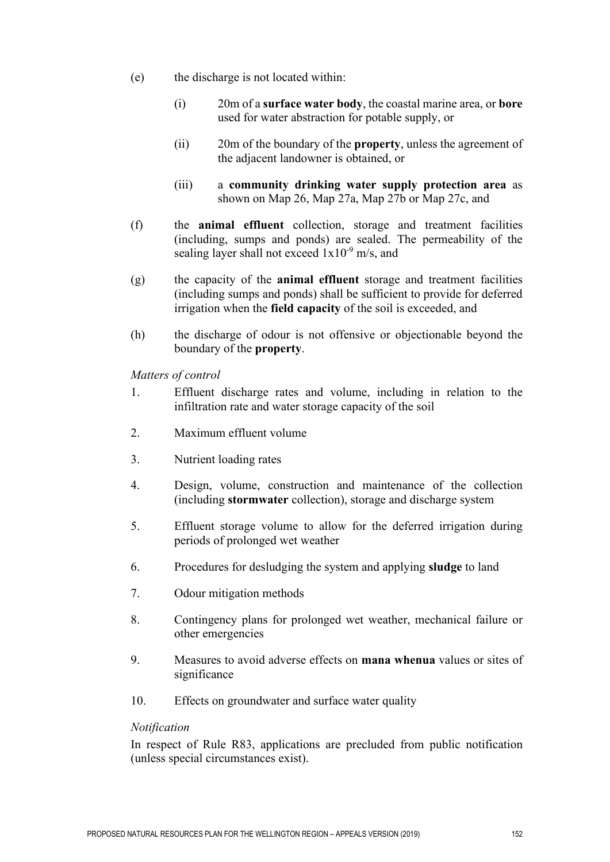- (e) the discharge is not located within:
	- (i) 20m of a **surface water body**, the coastal marine area, or **bore** used for water abstraction for potable supply, or
	- (ii) 20m of the boundary of the **property**, unless the agreement of the adjacent landowner is obtained, or
	- (iii) a **community drinking water supply protection area** as shown on Map 26, Map 27a, Map 27b or Map 27c, and
- (f) the **animal effluent** collection, storage and treatment facilities (including, sumps and ponds) are sealed. The permeability of the sealing layer shall not exceed  $1x10^{-9}$  m/s, and
- (g) the capacity of the **animal effluent** storage and treatment facilities (including sumps and ponds) shall be sufficient to provide for deferred irrigation when the **field capacity** of the soil is exceeded, and
- (h) the discharge of odour is not offensive or objectionable beyond the boundary of the **property**.

*Matters of control*

- 1. Effluent discharge rates and volume, including in relation to the infiltration rate and water storage capacity of the soil
- 2. Maximum effluent volume
- 3. Nutrient loading rates
- 4. Design, volume, construction and maintenance of the collection (including **stormwater** collection), storage and discharge system
- 5. Effluent storage volume to allow for the deferred irrigation during periods of prolonged wet weather
- 6. Procedures for desludging the system and applying **sludge** to land
- 7. Odour mitigation methods
- 8. Contingency plans for prolonged wet weather, mechanical failure or other emergencies
- 9. Measures to avoid adverse effects on **mana whenua** values or sites of significance
- 10. Effects on groundwater and surface water quality

#### *Notification*

In respect of Rule R83, applications are precluded from public notification (unless special circumstances exist).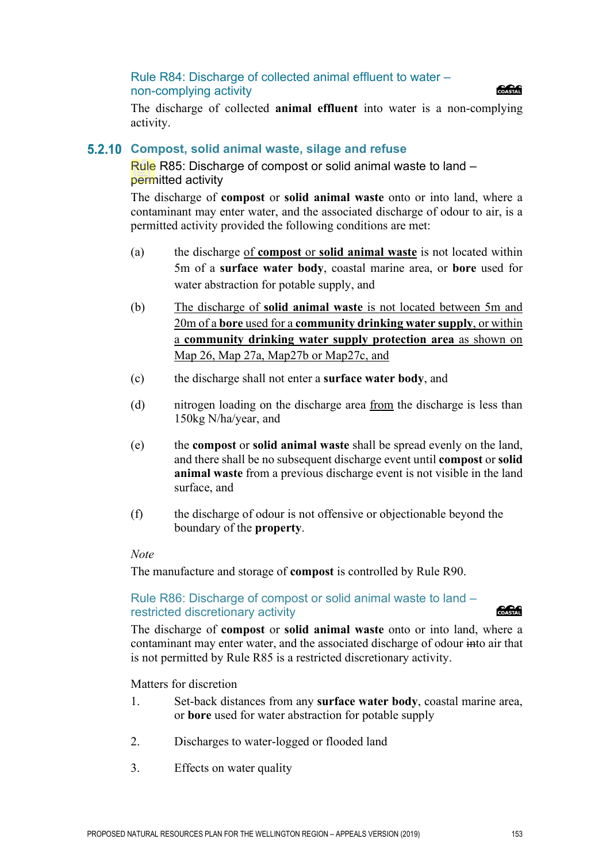# Rule R84: Discharge of collected animal effluent to water – non-complying activity



The discharge of collected **animal effluent** into water is a non-complying activity.

# **Compost, solid animal waste, silage and refuse**

Rule R85: Discharge of compost or solid animal waste to land – permitted activity

The discharge of **compost** or **solid animal waste** onto or into land, where a contaminant may enter water, and the associated discharge of odour to air, is a permitted activity provided the following conditions are met:

- (a) the discharge of **compost** or **solid animal waste** is not located within 5m of a **surface water body**, coastal marine area, or **bore** used for water abstraction for potable supply, and
- (b) The discharge of **solid animal waste** is not located between 5m and 20m of a **bore** used for a **community drinking water supply**, or within a **community drinking water supply protection area** as shown on Map 26, Map 27a, Map27b or Map27c, and
- (c) the discharge shall not enter a **surface water body**, and
- (d) nitrogen loading on the discharge area from the discharge is less than 150kg N/ha/year, and
- (e) the **compost** or **solid animal waste** shall be spread evenly on the land, and there shall be no subsequent discharge event until **compost** or **solid animal waste** from a previous discharge event is not visible in the land surface, and
- (f) the discharge of odour is not offensive or objectionable beyond the boundary of the **property**.

## *Note*

The manufacture and storage of **compost** is controlled by Rule R90.

# Rule R86: Discharge of compost or solid animal waste to land – restricted discretionary activity

The discharge of **compost** or **solid animal waste** onto or into land, where a contaminant may enter water, and the associated discharge of odour into air that is not permitted by Rule R85 is a restricted discretionary activity.

Matters for discretion

- 1. Set-back distances from any **surface water body**, coastal marine area, or **bore** used for water abstraction for potable supply
- 2. Discharges to water-logged or flooded land
- 3. Effects on water quality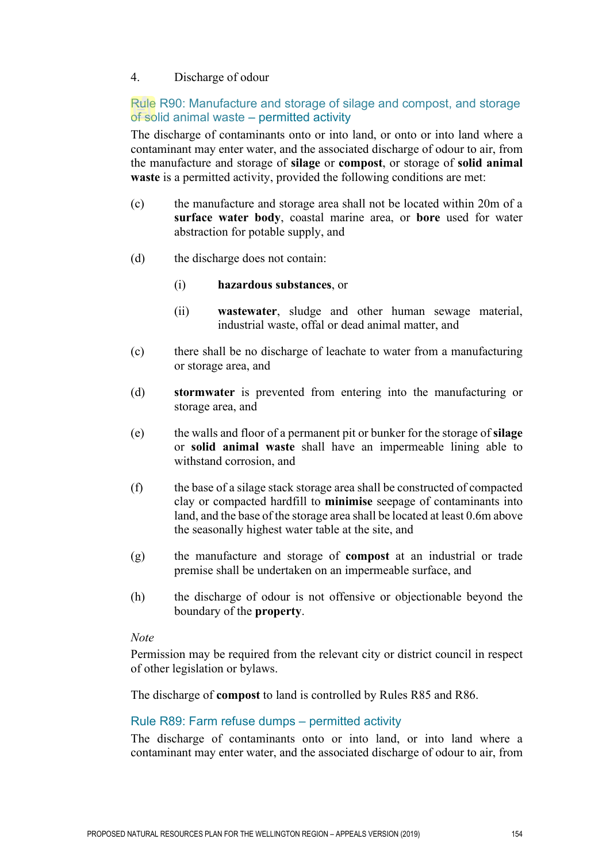# 4. Discharge of odour

# Rule R90: Manufacture and storage of silage and compost, and storage of solid animal waste – permitted activity

The discharge of contaminants onto or into land, or onto or into land where a contaminant may enter water, and the associated discharge of odour to air, from the manufacture and storage of **silage** or **compost**, or storage of **solid animal waste** is a permitted activity, provided the following conditions are met:

- (c) the manufacture and storage area shall not be located within 20m of a **surface water body**, coastal marine area, or **bore** used for water abstraction for potable supply, and
- (d) the discharge does not contain:
	- (i) **hazardous substances**, or
	- (ii) **wastewater**, sludge and other human sewage material, industrial waste, offal or dead animal matter, and
- (c) there shall be no discharge of leachate to water from a manufacturing or storage area, and
- (d) **stormwater** is prevented from entering into the manufacturing or storage area, and
- (e) the walls and floor of a permanent pit or bunker for the storage of **silage**  or **solid animal waste** shall have an impermeable lining able to withstand corrosion, and
- (f) the base of a silage stack storage area shall be constructed of compacted clay or compacted hardfill to **minimise** seepage of contaminants into land, and the base of the storage area shall be located at least 0.6m above the seasonally highest water table at the site, and
- (g) the manufacture and storage of **compost** at an industrial or trade premise shall be undertaken on an impermeable surface, and
- (h) the discharge of odour is not offensive or objectionable beyond the boundary of the **property**.

## *Note*

Permission may be required from the relevant city or district council in respect of other legislation or bylaws.

The discharge of **compost** to land is controlled by Rules R85 and R86.

## Rule R89: Farm refuse dumps – permitted activity

The discharge of contaminants onto or into land, or into land where a contaminant may enter water, and the associated discharge of odour to air, from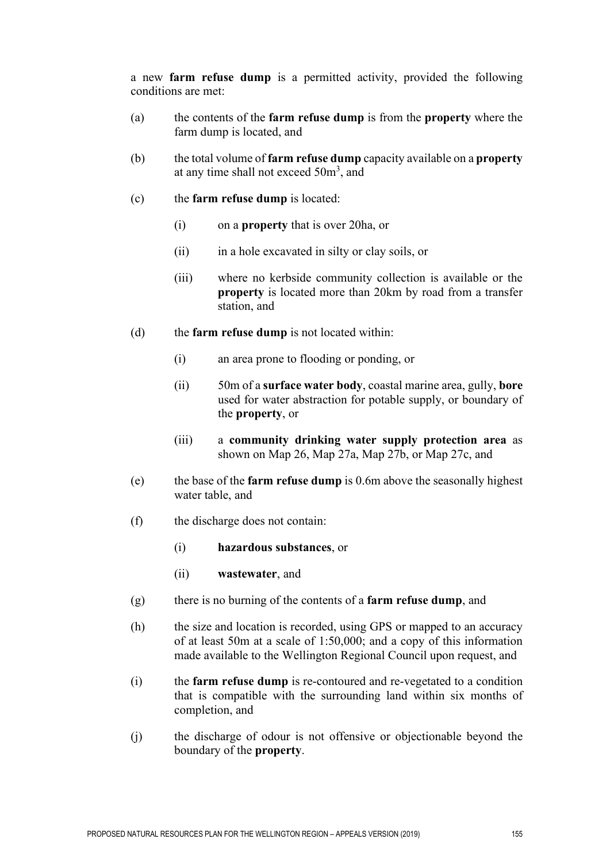a new **farm refuse dump** is a permitted activity, provided the following conditions are met:

- (a) the contents of the **farm refuse dump** is from the **property** where the farm dump is located, and
- (b) the total volume of **farm refuse dump** capacity available on a **property** at any time shall not exceed 50m<sup>3</sup>, and
- (c) the **farm refuse dump** is located:
	- (i) on a **property** that is over 20ha, or
	- (ii) in a hole excavated in silty or clay soils, or
	- (iii) where no kerbside community collection is available or the **property** is located more than 20km by road from a transfer station, and
- (d) the **farm refuse dump** is not located within:
	- (i) an area prone to flooding or ponding, or
	- (ii) 50m of a **surface water body**, coastal marine area, gully, **bore** used for water abstraction for potable supply, or boundary of the **property**, or
	- (iii) a **community drinking water supply protection area** as shown on Map 26, Map 27a, Map 27b, or Map 27c, and
- (e) the base of the **farm refuse dump** is 0.6m above the seasonally highest water table, and
- (f) the discharge does not contain:
	- (i) **hazardous substances**, or
	- (ii) **wastewater**, and
- (g) there is no burning of the contents of a **farm refuse dump**, and
- (h) the size and location is recorded, using GPS or mapped to an accuracy of at least 50m at a scale of 1:50,000; and a copy of this information made available to the Wellington Regional Council upon request, and
- (i) the **farm refuse dump** is re-contoured and re-vegetated to a condition that is compatible with the surrounding land within six months of completion, and
- (j) the discharge of odour is not offensive or objectionable beyond the boundary of the **property**.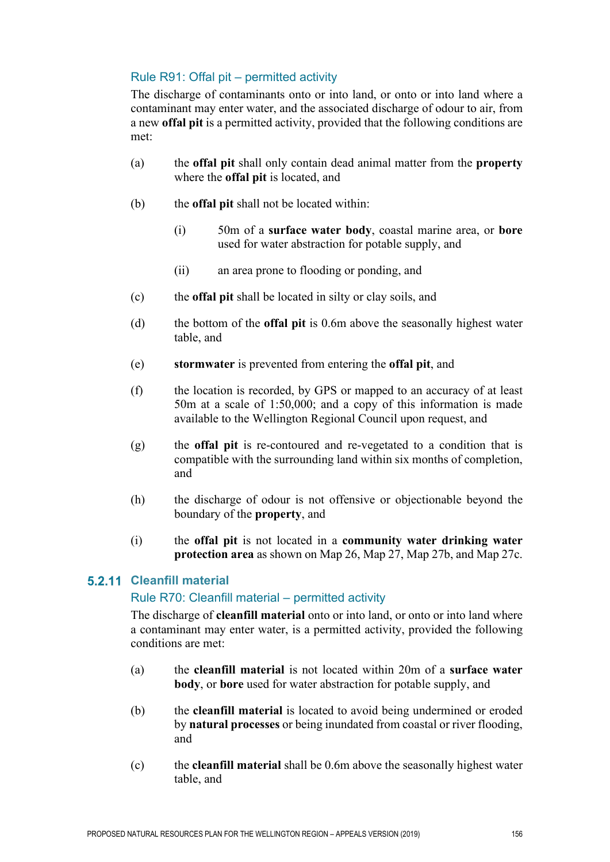# Rule R91: Offal pit – permitted activity

The discharge of contaminants onto or into land, or onto or into land where a contaminant may enter water, and the associated discharge of odour to air, from a new **offal pit** is a permitted activity, provided that the following conditions are met:

- (a) the **offal pit** shall only contain dead animal matter from the **property** where the **offal pit** is located, and
- (b) the **offal pit** shall not be located within:
	- (i) 50m of a **surface water body**, coastal marine area, or **bore** used for water abstraction for potable supply, and
	- (ii) an area prone to flooding or ponding, and
- (c) the **offal pit** shall be located in silty or clay soils, and
- (d) the bottom of the **offal pit** is 0.6m above the seasonally highest water table, and
- (e) **stormwater** is prevented from entering the **offal pit**, and
- (f) the location is recorded, by GPS or mapped to an accuracy of at least 50m at a scale of 1:50,000; and a copy of this information is made available to the Wellington Regional Council upon request, and
- (g) the **offal pit** is re-contoured and re-vegetated to a condition that is compatible with the surrounding land within six months of completion, and
- (h) the discharge of odour is not offensive or objectionable beyond the boundary of the **property**, and
- (i) the **offal pit** is not located in a **community water drinking water protection area** as shown on Map 26, Map 27, Map 27b, and Map 27c.

# **Cleanfill material**

# Rule R70: Cleanfill material – permitted activity

The discharge of **cleanfill material** onto or into land, or onto or into land where a contaminant may enter water, is a permitted activity, provided the following conditions are met:

- (a) the **cleanfill material** is not located within 20m of a **surface water body**, or **bore** used for water abstraction for potable supply, and
- (b) the **cleanfill material** is located to avoid being undermined or eroded by **natural processes** or being inundated from coastal or river flooding, and
- (c) the **cleanfill material** shall be 0.6m above the seasonally highest water table, and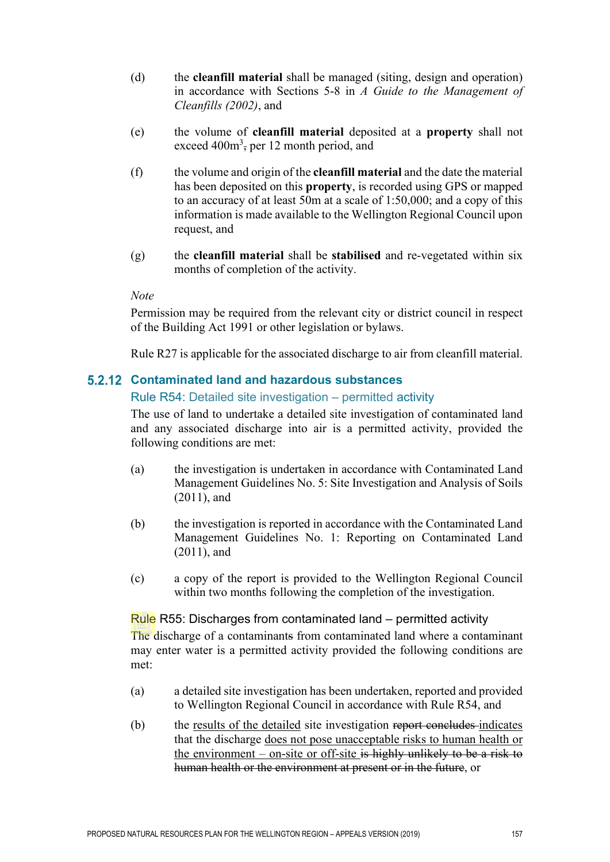- (d) the **cleanfill material** shall be managed (siting, design and operation) in accordance with Sections 5-8 in *A Guide to the Management of Cleanfills (2002)*, and
- (e) the volume of **cleanfill material** deposited at a **property** shall not exceed  $400m^3$ , per 12 month period, and
- (f) the volume and origin of the **cleanfill material** and the date the material has been deposited on this **property**, is recorded using GPS or mapped to an accuracy of at least 50m at a scale of 1:50,000; and a copy of this information is made available to the Wellington Regional Council upon request, and
- (g) the **cleanfill material** shall be **stabilised** and re-vegetated within six months of completion of the activity.

Permission may be required from the relevant city or district council in respect of the Building Act 1991 or other legislation or bylaws.

Rule R27 is applicable for the associated discharge to air from cleanfill material.

# **Contaminated land and hazardous substances**

## Rule R54: Detailed site investigation – permitted activity

The use of land to undertake a detailed site investigation of contaminated land and any associated discharge into air is a permitted activity, provided the following conditions are met:

- (a) the investigation is undertaken in accordance with Contaminated Land Management Guidelines No. 5: Site Investigation and Analysis of Soils (2011), and
- (b) the investigation is reported in accordance with the Contaminated Land Management Guidelines No. 1: Reporting on Contaminated Land (2011), and
- (c) a copy of the report is provided to the Wellington Regional Council within two months following the completion of the investigation.

# Rule R55: Discharges from contaminated land – permitted activity

The discharge of a contaminants from contaminated land where a contaminant may enter water is a permitted activity provided the following conditions are met:

- (a) a detailed site investigation has been undertaken, reported and provided to Wellington Regional Council in accordance with Rule R54, and
- (b) the results of the detailed site investigation report concludes indicates that the discharge does not pose unacceptable risks to human health or the environment – on-site or off-site is highly unlikely to be a risk to human health or the environment at present or in the future, or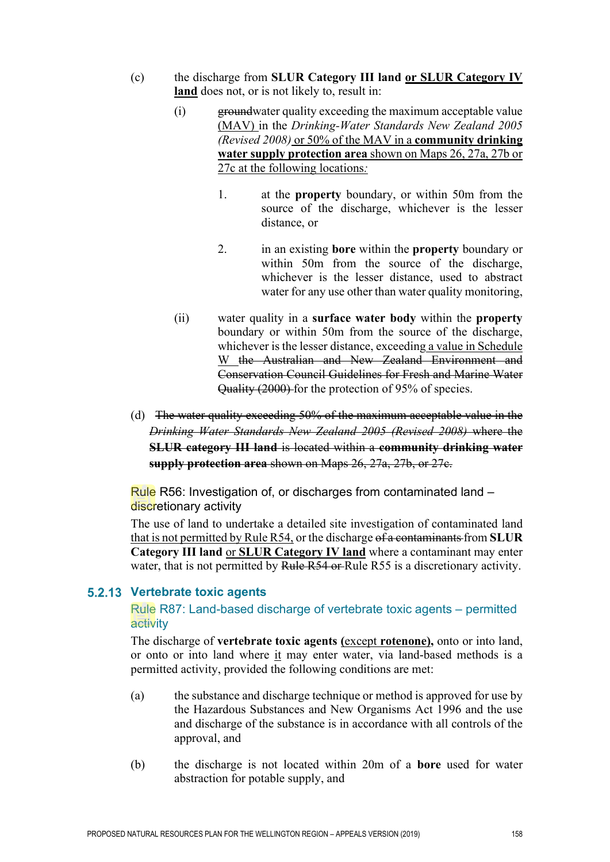- (c) the discharge from **SLUR Category III land or SLUR Category IV land** does not, or is not likely to, result in:
	- (i) groundwater quality exceeding the maximum acceptable value (MAV) in the *Drinking-Water Standards New Zealand 2005 (Revised 2008)* or 50% of the MAV in a **community drinking water supply protection area** shown on Maps 26, 27a, 27b or 27c at the following locations*:*
		- 1. at the **property** boundary, or within 50m from the source of the discharge, whichever is the lesser distance, or
		- 2. in an existing **bore** within the **property** boundary or within 50m from the source of the discharge, whichever is the lesser distance, used to abstract water for any use other than water quality monitoring,
	- (ii) water quality in a **surface water body** within the **property** boundary or within 50m from the source of the discharge, whichever is the lesser distance, exceeding a value in Schedule W the Australian and New Zealand Environment and Conservation Council Guidelines for Fresh and Marine Water Quality (2000) for the protection of 95% of species.
- (d) The water quality exceeding 50% of the maximum acceptable value in the *Drinking Water Standards New Zealand 2005 (Revised 2008)* where the **SLUR category III land** is located within a **community drinking water supply protection area** shown on Maps 26, 27a, 27b, or 27c.

Rule R56: Investigation of, or discharges from contaminated land – discretionary activity

The use of land to undertake a detailed site investigation of contaminated land that is not permitted by Rule R54, or the discharge of a contaminants from **SLUR Category III land** or **SLUR Category IV land** where a contaminant may enter water, that is not permitted by Rule R54 or Rule R55 is a discretionary activity.

# **Vertebrate toxic agents**

# Rule R87: Land-based discharge of vertebrate toxic agents – permitted activity

The discharge of **vertebrate toxic agents (**except **rotenone),** onto or into land, or onto or into land where it may enter water, via land-based methods is a permitted activity, provided the following conditions are met:

- (a) the substance and discharge technique or method is approved for use by the Hazardous Substances and New Organisms Act 1996 and the use and discharge of the substance is in accordance with all controls of the approval, and
- (b) the discharge is not located within 20m of a **bore** used for water abstraction for potable supply, and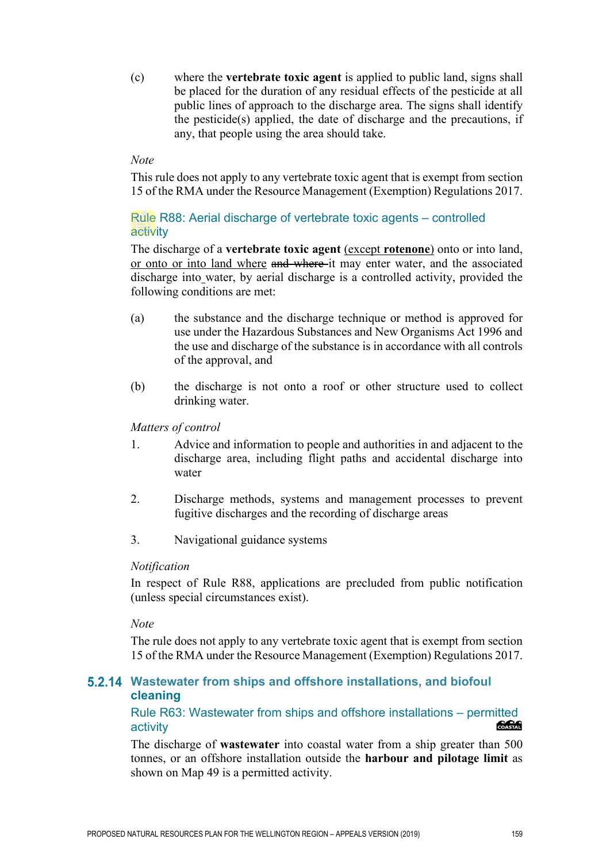(c) where the **vertebrate toxic agent** is applied to public land, signs shall be placed for the duration of any residual effects of the pesticide at all public lines of approach to the discharge area. The signs shall identify the pesticide(s) applied, the date of discharge and the precautions, if any, that people using the area should take.

# *Note*

This rule does not apply to any vertebrate toxic agent that is exempt from section 15 of the RMA under the Resource Management (Exemption) Regulations 2017.

# Rule R88: Aerial discharge of vertebrate toxic agents – controlled activity

The discharge of a **vertebrate toxic agent** (except **rotenone**) onto or into land, or onto or into land where and where it may enter water, and the associated discharge into water, by aerial discharge is a controlled activity, provided the following conditions are met:

- (a) the substance and the discharge technique or method is approved for use under the Hazardous Substances and New Organisms Act 1996 and the use and discharge of the substance is in accordance with all controls of the approval, and
- (b) the discharge is not onto a roof or other structure used to collect drinking water.

# *Matters of control*

- 1. Advice and information to people and authorities in and adjacent to the discharge area, including flight paths and accidental discharge into water
- 2. Discharge methods, systems and management processes to prevent fugitive discharges and the recording of discharge areas
- 3. Navigational guidance systems

## *Notification*

In respect of Rule R88, applications are precluded from public notification (unless special circumstances exist).

## *Note*

The rule does not apply to any vertebrate toxic agent that is exempt from section 15 of the RMA under the Resource Management (Exemption) Regulations 2017.

# **Wastewater from ships and offshore installations, and biofoul cleaning**

Rule R63: Wastewater from ships and offshore installations – permitted<br>activity activity

The discharge of **wastewater** into coastal water from a ship greater than 500 tonnes, or an offshore installation outside the **harbour and pilotage limit** as shown on Map 49 is a permitted activity.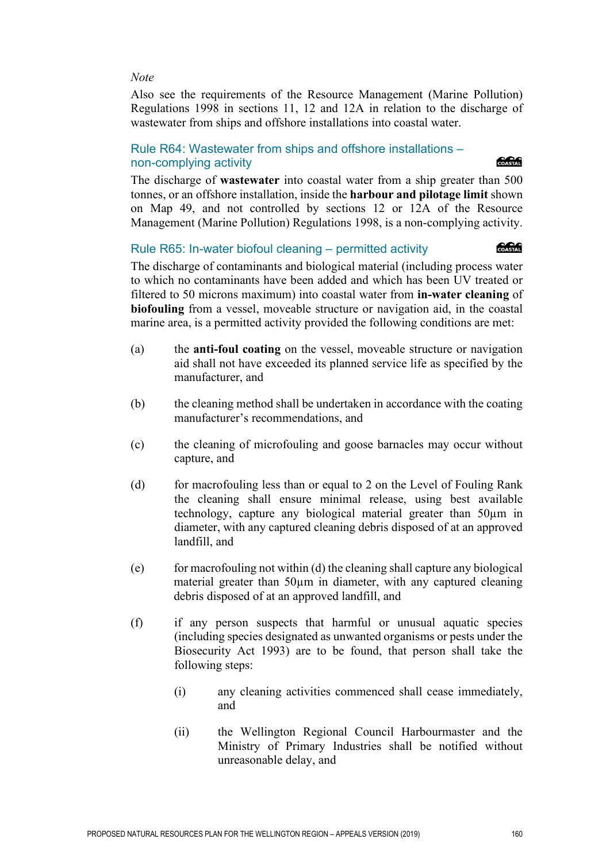Also see the requirements of the Resource Management (Marine Pollution) Regulations 1998 in sections 11, 12 and 12A in relation to the discharge of wastewater from ships and offshore installations into coastal water.

# Rule R64: Wastewater from ships and offshore installations – non-complying activity

The discharge of **wastewater** into coastal water from a ship greater than 500 tonnes, or an offshore installation, inside the **harbour and pilotage limit** shown on Map 49, and not controlled by sections 12 or 12A of the Resource Management (Marine Pollution) Regulations 1998, is a non-complying activity.

# Rule R65: In-water biofoul cleaning – permitted activity

**COASTAL** 

**COASTAL** 

The discharge of contaminants and biological material (including process water to which no contaminants have been added and which has been UV treated or filtered to 50 microns maximum) into coastal water from **in-water cleaning** of **biofouling** from a vessel, moveable structure or navigation aid, in the coastal marine area, is a permitted activity provided the following conditions are met:

- (a) the **anti-foul coating** on the vessel, moveable structure or navigation aid shall not have exceeded its planned service life as specified by the manufacturer, and
- (b) the cleaning method shall be undertaken in accordance with the coating manufacturer's recommendations, and
- (c) the cleaning of microfouling and goose barnacles may occur without capture, and
- (d) for macrofouling less than or equal to 2 on the Level of Fouling Rank the cleaning shall ensure minimal release, using best available technology, capture any biological material greater than 50µm in diameter, with any captured cleaning debris disposed of at an approved landfill, and
- $(e)$  for macrofouling not within (d) the cleaning shall capture any biological material greater than 50 $\mu$ m in diameter, with any captured cleaning debris disposed of at an approved landfill, and
- (f) if any person suspects that harmful or unusual aquatic species (including species designated as unwanted organisms or pests under the Biosecurity Act 1993) are to be found, that person shall take the following steps:
	- (i) any cleaning activities commenced shall cease immediately, and
	- (ii) the Wellington Regional Council Harbourmaster and the Ministry of Primary Industries shall be notified without unreasonable delay, and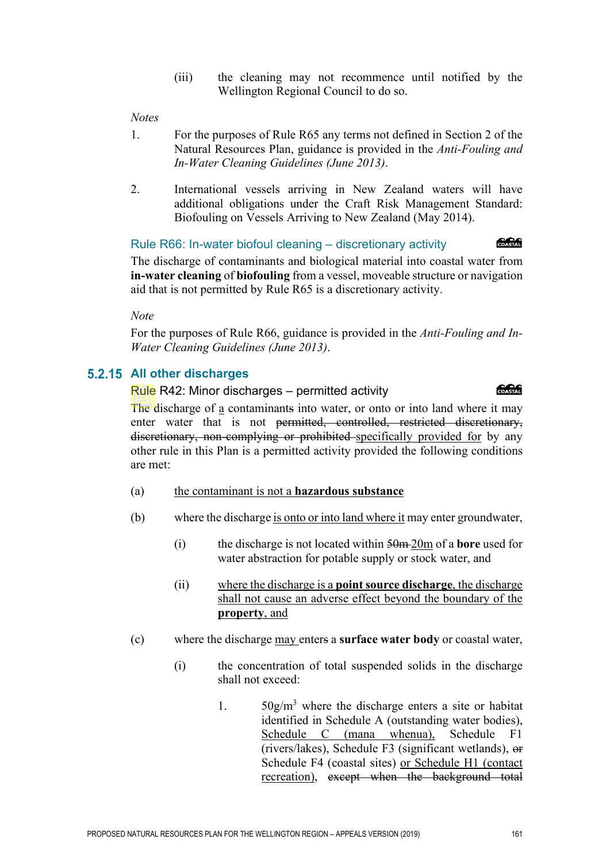(iii) the cleaning may not recommence until notified by the Wellington Regional Council to do so.

#### *Notes*

- 1. For the purposes of Rule R65 any terms not defined in Section 2 of the Natural Resources Plan, guidance is provided in the *Anti-Fouling and In-Water Cleaning Guidelines (June 2013)*.
- 2. International vessels arriving in New Zealand waters will have additional obligations under the Craft Risk Management Standard: Biofouling on Vessels Arriving to New Zealand (May 2014).

#### Rule R66: In-water biofoul cleaning – discretionary activity

**Concrete** 

The discharge of contaminants and biological material into coastal water from **in-water cleaning** of **biofouling** from a vessel, moveable structure or navigation aid that is not permitted by Rule R65 is a discretionary activity.

*Note* 

For the purposes of Rule R66, guidance is provided in the *Anti-Fouling and In-Water Cleaning Guidelines (June 2013)*.

# **5.2.15 All other discharges**

Rule R42: Minor discharges – permitted activity

**Concrete** 

The discharge of a contaminants into water, or onto or into land where it may enter water that is not <del>permitted, controlled, restricted discretionary,</del> discretionary, non-complying or prohibited specifically provided for by any other rule in this Plan is a permitted activity provided the following conditions are met:

- (a) the contaminant is not a **hazardous substance**
- (b) where the discharge is onto or into land where it may enter groundwater,
	- (i) the discharge is not located within 50m 20m of a **bore** used for water abstraction for potable supply or stock water, and
	- (ii) where the discharge is a **point source discharge**, the discharge shall not cause an adverse effect beyond the boundary of the **property**, and
- (c) where the discharge may enters a **surface water body** or coastal water,
	- (i) the concentration of total suspended solids in the discharge shall not exceed:
		- 1.  $50g/m<sup>3</sup>$  where the discharge enters a site or habitat identified in Schedule A (outstanding water bodies), Schedule C (mana whenua), Schedule F1 (rivers/lakes), Schedule F3 (significant wetlands), or Schedule F4 (coastal sites) or Schedule H1 (contact recreation), except when the background total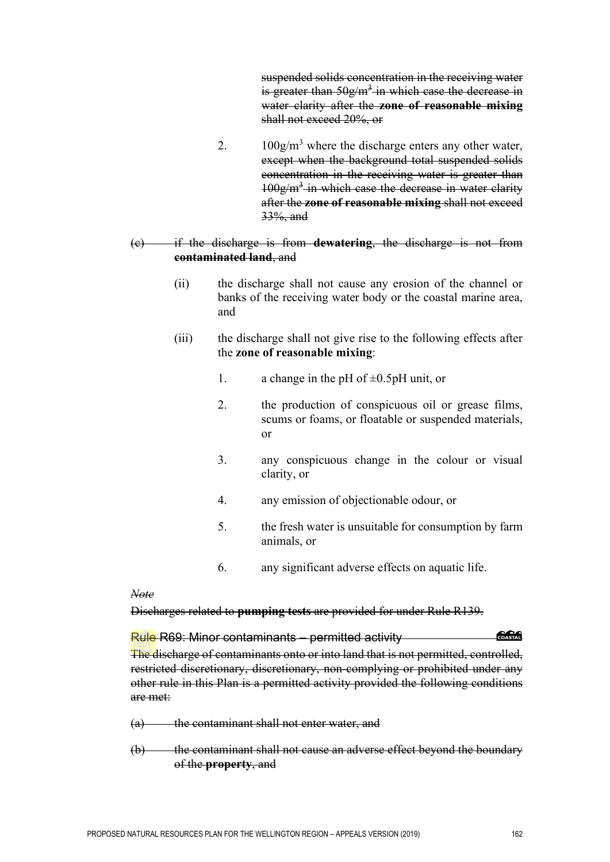suspended solids concentration in the receiving water is greater than  $50g/m^3$  in which case the decrease in water clarity after the **zone of reasonable mixing** shall not exceed 20%, or

2.  $100g/m<sup>3</sup>$  where the discharge enters any other water, except when the background total suspended solids concentration in the receiving water is greater than  $100g/m<sup>3</sup>$  in which case the decrease in water clarity after the **zone of reasonable mixing** shall not exceed 33%, and

#### (c) if the discharge is from **dewatering**, the discharge is not from **contaminated land**, and

- (ii) the discharge shall not cause any erosion of the channel or banks of the receiving water body or the coastal marine area, and
- (iii) the discharge shall not give rise to the following effects after the **zone of reasonable mixing**:
	- 1. a change in the pH of  $\pm 0.5$ pH unit, or
	- 2. the production of conspicuous oil or grease films, scums or foams, or floatable or suspended materials, or
	- 3. any conspicuous change in the colour or visual clarity, or
	- 4. any emission of objectionable odour, or
	- 5. the fresh water is unsuitable for consumption by farm animals, or
	- 6. any significant adverse effects on aquatic life.

*Note* 

## Discharges related to **pumping tests** are provided for under Rule R139.

# Rule R69: Minor contaminants – permitted activity

The discharge of contaminants onto or into land that is not permitted, controlled, restricted discretionary, discretionary, non-complying or prohibited under any other rule in this Plan is a permitted activity provided the following conditions are met:

- (a) the contaminant shall not enter water, and
- (b) the contaminant shall not cause an adverse effect beyond the boundary of the **property**, and

*<u> SSSSS</u>*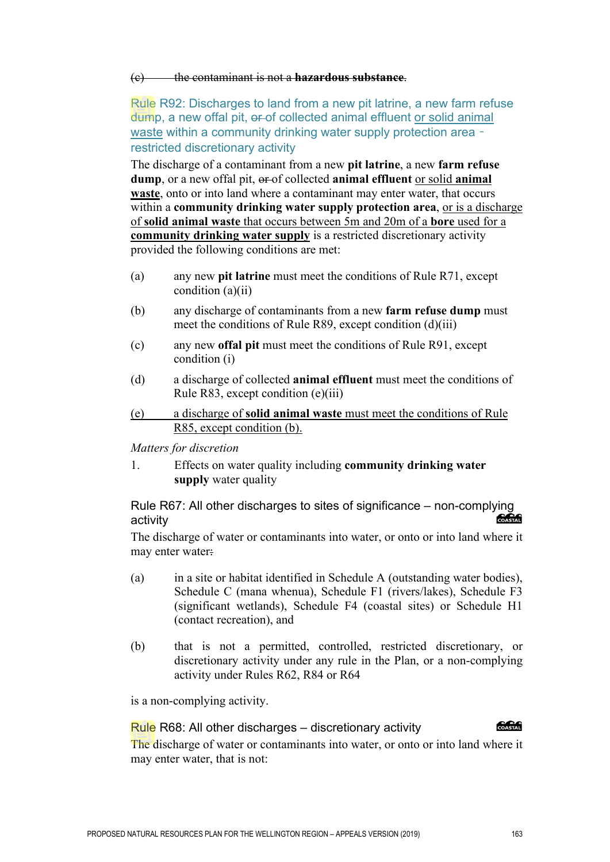#### (c) the contaminant is not a **hazardous substance**.

Rule R92: Discharges to land from a new pit latrine, a new farm refuse dump, a new offal pit, er-of collected animal effluent or solid animal waste within a community drinking water supply protection area – restricted discretionary activity

The discharge of a contaminant from a new **pit latrine**, a new **farm refuse**  dump, or a new offal pit,  $\theta$  of collected **animal effluent** or solid **animal waste**, onto or into land where a contaminant may enter water, that occurs within a **community drinking water supply protection area**, or is a discharge of **solid animal waste** that occurs between 5m and 20m of a **bore** used for a **community drinking water supply** is a restricted discretionary activity provided the following conditions are met:

- (a) any new **pit latrine** must meet the conditions of Rule R71, except condition (a)(ii)
- (b) any discharge of contaminants from a new **farm refuse dump** must meet the conditions of Rule R89, except condition (d)(iii)
- (c) any new **offal pit** must meet the conditions of Rule R91, except condition (i)
- (d) a discharge of collected **animal effluent** must meet the conditions of Rule R83, except condition (e)(iii)
- (e) a discharge of **solid animal waste** must meet the conditions of Rule R85, except condition (b).

*Matters for discretion*

1. Effects on water quality including **community drinking water supply** water quality

Rule R67: All other discharges to sites of significance – non-complying activity

The discharge of water or contaminants into water, or onto or into land where it may enter water:

- (a) in a site or habitat identified in Schedule A (outstanding water bodies), Schedule C (mana whenua), Schedule F1 (rivers/lakes), Schedule F3 (significant wetlands), Schedule F4 (coastal sites) or Schedule H1 (contact recreation), and
- (b) that is not a permitted, controlled, restricted discretionary, or discretionary activity under any rule in the Plan, or a non-complying activity under Rules R62, R84 or R64

is a non-complying activity.

#### Rule R68: All other discharges – discretionary activity



The discharge of water or contaminants into water, or onto or into land where it may enter water, that is not: